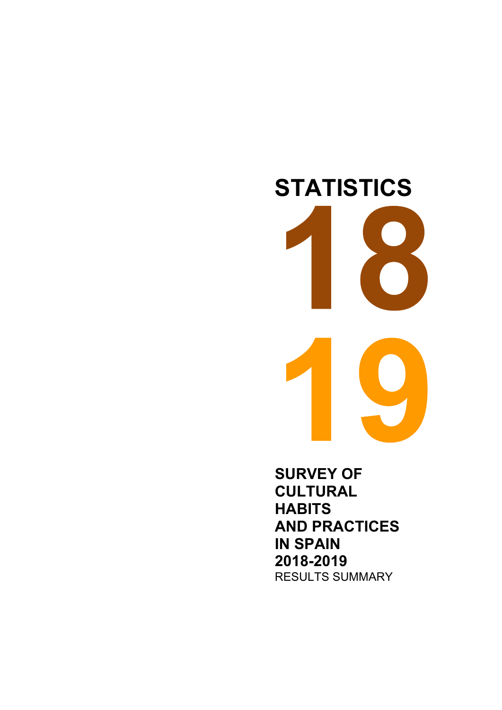# **STATISTICS**

**SURVEY OF CULTURAL HABITS AND PRACTICES IN SPAIN 2018-2019** RESULTS SUMMARY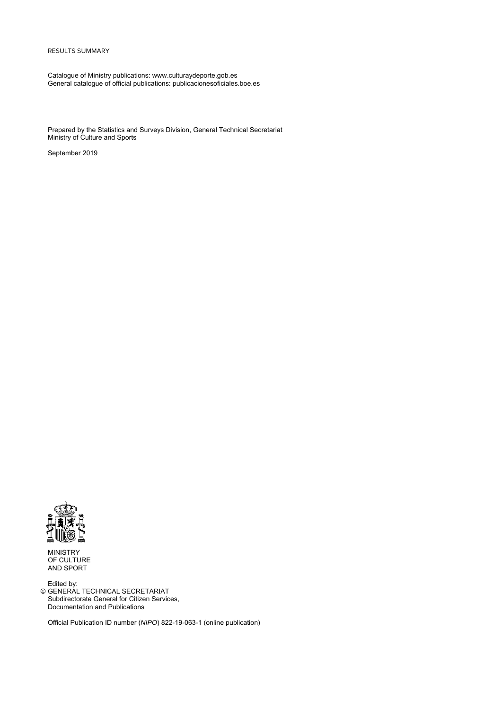### RESULTS SUMMARY

Catalogue of Ministry publications: www.culturaydeporte.gob.es General catalogue of official publications: publicacionesoficiales.boe.es

Prepared by the Statistics and Surveys Division, General Technical Secretariat Ministry of Culture and Sports

September 2019



MINISTRY OF CULTURE AND SPORT

Edited by: © GENERAL TECHNICAL SECRETARIAT Subdirectorate General for Citizen Services, Documentation and Publications

Official Publication ID number (*NIPO*) 822-19-063-1 (online publication)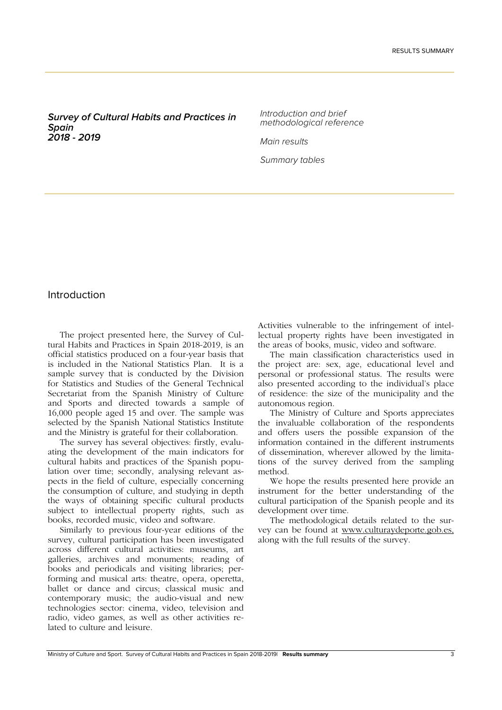**Survey of Cultural Habits and Practices in Spain 2018 - 2019**

Introduction and brief methodological reference

Main results

Summary tables

# Introduction

The project presented here, the Survey of Cultural Habits and Practices in Spain 2018-2019, is an official statistics produced on a four-year basis that is included in the National Statistics Plan. It is a sample survey that is conducted by the Division for Statistics and Studies of the General Technical Secretariat from the Spanish Ministry of Culture and Sports and directed towards a sample of 16,000 people aged 15 and over. The sample was selected by the Spanish National Statistics Institute and the Ministry is grateful for their collaboration.

The survey has several objectives: firstly, evaluating the development of the main indicators for cultural habits and practices of the Spanish population over time; secondly, analysing relevant aspects in the field of culture, especially concerning the consumption of culture, and studying in depth the ways of obtaining specific cultural products subject to intellectual property rights, such as books, recorded music, video and software.

Similarly to previous four-year editions of the survey, cultural participation has been investigated across different cultural activities: museums, art galleries, archives and monuments; reading of books and periodicals and visiting libraries; performing and musical arts: theatre, opera, operetta, ballet or dance and circus; classical music and contemporary music; the audio-visual and new technologies sector: cinema, video, television and radio, video games, as well as other activities related to culture and leisure.

Activities vulnerable to the infringement of intellectual property rights have been investigated in the areas of books, music, video and software.

The main classification characteristics used in the project are: sex, age, educational level and personal or professional status. The results were also presented according to the individual's place of residence: the size of the municipality and the autonomous region.

The Ministry of Culture and Sports appreciates the invaluable collaboration of the respondents and offers users the possible expansion of the information contained in the different instruments of dissemination, wherever allowed by the limitations of the survey derived from the sampling method.

We hope the results presented here provide an instrument for the better understanding of the cultural participation of the Spanish people and its development over time.

The methodological details related to the survey can be found at www.culturaydeporte.gob.es, along with the full results of the survey.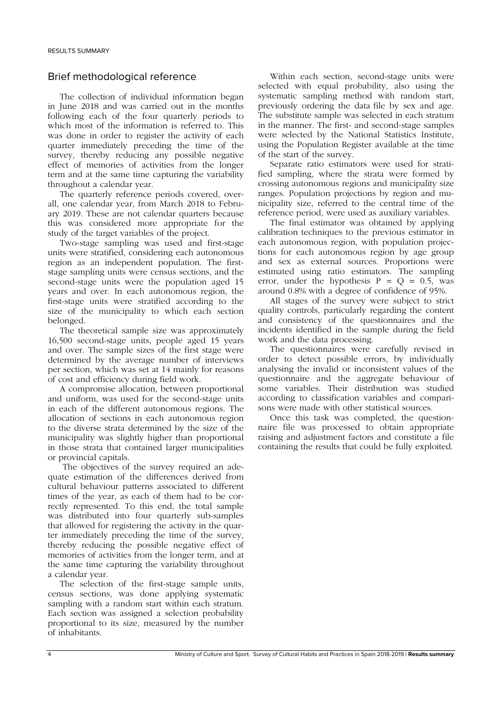# Brief methodological reference

The collection of individual information began in June 2018 and was carried out in the months following each of the four quarterly periods to which most of the information is referred to. This was done in order to register the activity of each quarter immediately preceding the time of the survey, thereby reducing any possible negative effect of memories of activities from the longer term and at the same time capturing the variability throughout a calendar year.

The quarterly reference periods covered, overall, one calendar year, from March 2018 to February 2019. These are not calendar quarters because this was considered more appropriate for the study of the target variables of the project.

Two-stage sampling was used and first-stage units were stratified, considering each autonomous region as an independent population. The firststage sampling units were census sections, and the second-stage units were the population aged 15 years and over. In each autonomous region, the first-stage units were stratified according to the size of the municipality to which each section belonged.

The theoretical sample size was approximately 16,500 second-stage units, people aged 15 years and over. The sample sizes of the first stage were determined by the average number of interviews per section, which was set at 14 mainly for reasons of cost and efficiency during field work.

A compromise allocation, between proportional and uniform, was used for the second-stage units in each of the different autonomous regions. The allocation of sections in each autonomous region to the diverse strata determined by the size of the municipality was slightly higher than proportional in those strata that contained larger municipalities or provincial capitals.

 The objectives of the survey required an adequate estimation of the differences derived from cultural behaviour patterns associated to different times of the year, as each of them had to be correctly represented. To this end, the total sample was distributed into four quarterly sub-samples that allowed for registering the activity in the quarter immediately preceding the time of the survey, thereby reducing the possible negative effect of memories of activities from the longer term, and at the same time capturing the variability throughout a calendar year.

The selection of the first-stage sample units, census sections, was done applying systematic sampling with a random start within each stratum. Each section was assigned a selection probability proportional to its size, measured by the number of inhabitants.

Within each section, second-stage units were selected with equal probability, also using the systematic sampling method with random start, previously ordering the data file by sex and age. The substitute sample was selected in each stratum in the manner. The first- and second-stage samples were selected by the National Statistics Institute, using the Population Register available at the time of the start of the survey.

Separate ratio estimators were used for stratified sampling, where the strata were formed by crossing autonomous regions and municipality size ranges. Population projections by region and municipality size, referred to the central time of the reference period, were used as auxiliary variables.

The final estimator was obtained by applying calibration techniques to the previous estimator in each autonomous region, with population projections for each autonomous region by age group and sex as external sources. Proportions were estimated using ratio estimators. The sampling error, under the hypothesis  $P = Q = 0.5$ , was around 0.8% with a degree of confidence of 95%.

All stages of the survey were subject to strict quality controls, particularly regarding the content and consistency of the questionnaires and the incidents identified in the sample during the field work and the data processing.

The questionnaires were carefully revised in order to detect possible errors, by individually analysing the invalid or inconsistent values of the questionnaire and the aggregate behaviour of some variables. Their distribution was studied according to classification variables and comparisons were made with other statistical sources.

Once this task was completed, the questionnaire file was processed to obtain appropriate raising and adjustment factors and constitute a file containing the results that could be fully exploited.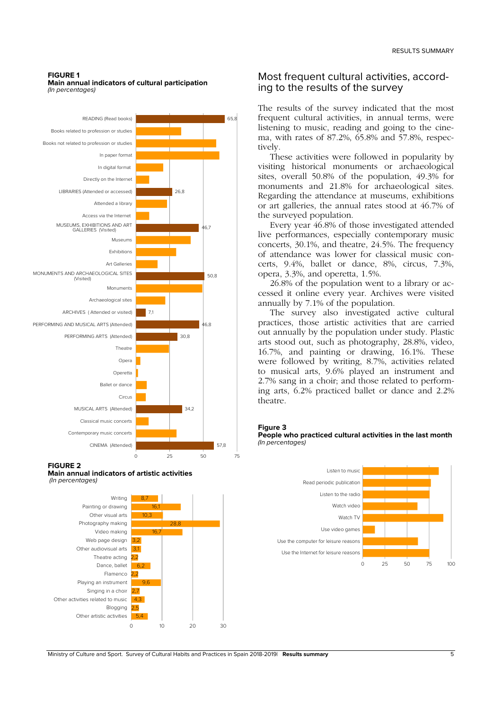**RESULTS SUMMARY** 

### **FIGURE 1**

**Main annual indicators of cultural participation**  (In percentages)



### **FIGURE 2**

**Main annual indicators of artistic activities**  (In percentages)



# Most frequent cultural activities, according to the results of the survey

The results of the survey indicated that the most frequent cultural activities, in annual terms, were listening to music, reading and going to the cinema, with rates of 87.2%, 65.8% and 57.8%, respectively.

These activities were followed in popularity by visiting historical monuments or archaeological sites, overall 50.8% of the population, 49.3% for monuments and 21.8% for archaeological sites. Regarding the attendance at museums, exhibitions or art galleries, the annual rates stood at 46.7% of the surveyed population.

Every year 46.8% of those investigated attended live performances, especially contemporary music concerts, 30.1%, and theatre, 24.5%. The frequency of attendance was lower for classical music concerts, 9.4%, ballet or dance, 8%, circus, 7.3%, opera, 3.3%, and operetta, 1.5%.

26.8% of the population went to a library or accessed it online every year. Archives were visited annually by 7.1% of the population.

The survey also investigated active cultural practices, those artistic activities that are carried out annually by the population under study. Plastic arts stood out, such as photography, 28.8%, video, 16.7%, and painting or drawing, 16.1%. These were followed by writing, 8.7%, activities related to musical arts, 9.6% played an instrument and 2.7% sang in a choir; and those related to performing arts, 6.2% practiced ballet or dance and 2.2% theatre.

### **Figure 3**

**People who practiced cultural activities in the last month**  (In percentages)

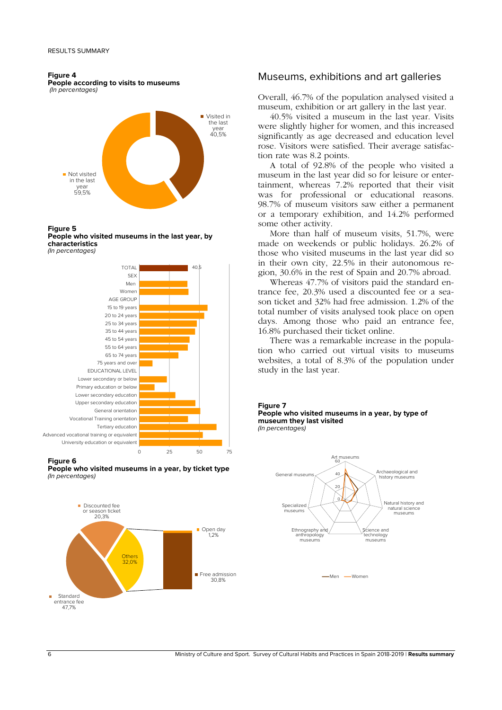**People according to visits to museums**  (In percentages)



**Figure 5** 

### **People who visited museums in the last year, by characteristics**





### **Figure 6**

**People who visited museums in a year, by ticket type**  (In percentages)



# Museums, exhibitions and art galleries

Overall, 46.7% of the population analysed visited a museum, exhibition or art gallery in the last year.

40.5% visited a museum in the last year. Visits were slightly higher for women, and this increased significantly as age decreased and education level rose. Visitors were satisfied. Their average satisfaction rate was 8.2 points.

A total of 92.8% of the people who visited a museum in the last year did so for leisure or entertainment, whereas 7.2% reported that their visit was for professional or educational reasons. 98.7% of museum visitors saw either a permanent or a temporary exhibition, and 14.2% performed some other activity.

More than half of museum visits, 51.7%, were made on weekends or public holidays. 26.2% of those who visited museums in the last year did so in their own city, 22.5% in their autonomous region, 30.6% in the rest of Spain and 20.7% abroad.

Whereas 47.7% of visitors paid the standard entrance fee, 20.3% used a discounted fee or a season ticket and 32% had free admission. 1.2% of the total number of visits analysed took place on open days. Among those who paid an entrance fee, 16.8% purchased their ticket online.

There was a remarkable increase in the population who carried out virtual visits to museums websites, a total of 8.3% of the population under study in the last year.



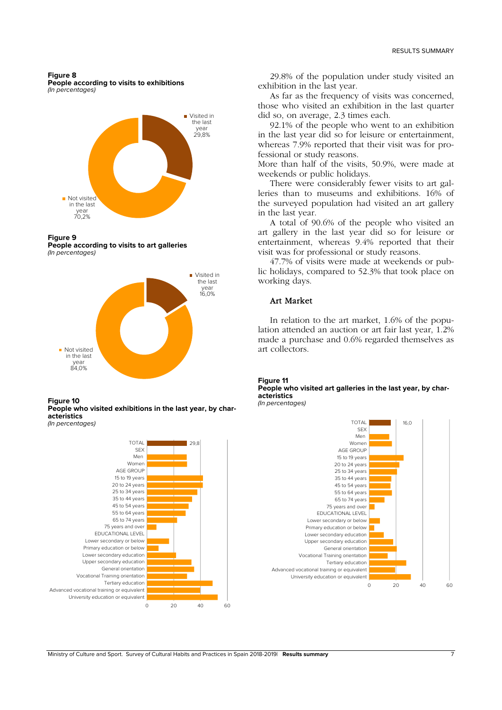**Figure 8** 

**People according to visits to exhibitions**  (In percentages)



**Figure 9** 

**People according to visits to art galleries**  (In percentages)



**Figure 10 People who visited exhibitions in the last year, by characteristics** 



29.8% of the population under study visited an exhibition in the last year.

As far as the frequency of visits was concerned, those who visited an exhibition in the last quarter did so, on average, 2.3 times each.

92.1% of the people who went to an exhibition in the last year did so for leisure or entertainment, whereas 7.9% reported that their visit was for professional or study reasons.

More than half of the visits, 50.9%, were made at weekends or public holidays.

There were considerably fewer visits to art galleries than to museums and exhibitions. 16% of the surveyed population had visited an art gallery in the last year.

A total of 90.6% of the people who visited an art gallery in the last year did so for leisure or entertainment, whereas 9.4% reported that their visit was for professional or study reasons.

47.7% of visits were made at weekends or public holidays, compared to 52.3% that took place on working days.

# Art Market

In relation to the art market, 1.6% of the population attended an auction or art fair last year, 1.2% made a purchase and 0.6% regarded themselves as art collectors.

### **Figure 11 People who visited art galleries in the last year, by characteristics**

(In percentages)

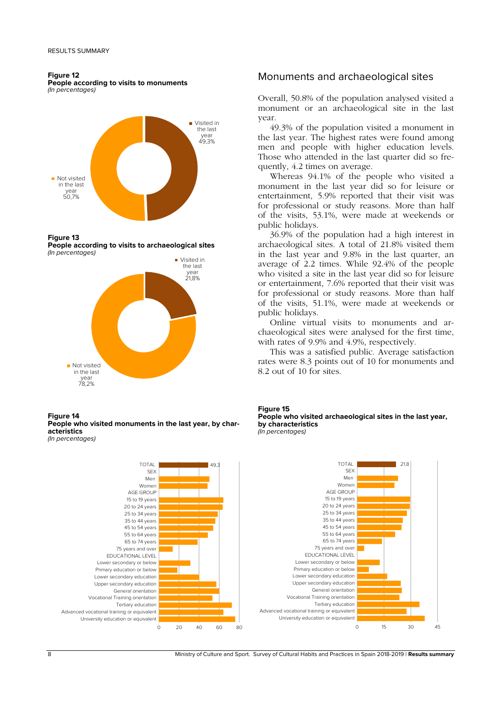**People according to visits to monuments**  (In percentages)



### **Figure 13**

**People according to visits to archaeological sites**  (In percentages)



### **Figure 14 People who visited monuments in the last year, by characteristics**

(In percentages)

# Monuments and archaeological sites

Overall, 50.8% of the population analysed visited a monument or an archaeological site in the last year.

49.3% of the population visited a monument in the last year. The highest rates were found among men and people with higher education levels. Those who attended in the last quarter did so frequently, 4.2 times on average.

Whereas 94.1% of the people who visited a monument in the last year did so for leisure or entertainment, 5.9% reported that their visit was for professional or study reasons. More than half of the visits, 53.1%, were made at weekends or public holidays.

36.9% of the population had a high interest in archaeological sites. A total of 21.8% visited them in the last year and 9.8% in the last quarter, an average of 2.2 times. While 92.4% of the people who visited a site in the last year did so for leisure or entertainment, 7.6% reported that their visit was for professional or study reasons. More than half of the visits, 51.1%, were made at weekends or public holidays.

Online virtual visits to monuments and archaeological sites were analysed for the first time, with rates of 9.9% and 4.9%, respectively.

This was a satisfied public. Average satisfaction rates were 8.3 points out of 10 for monuments and 8.2 out of 10 for sites.



**People who visited archaeological sites in the last year, by characteristics**  (In percentages)

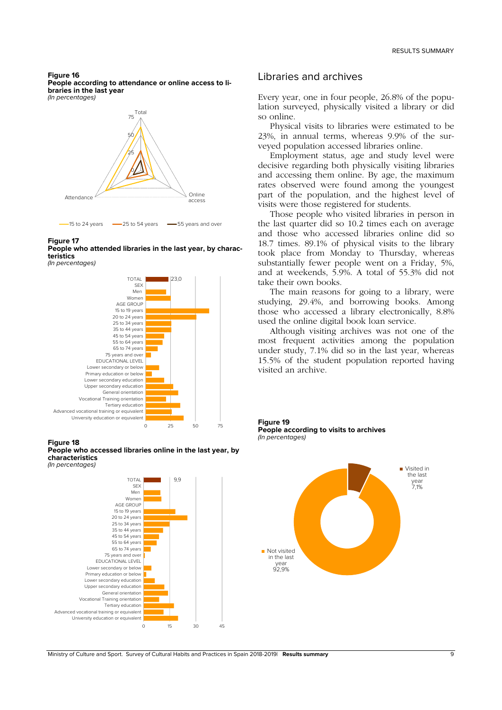**People according to attendance or online access to libraries in the last year**  (In percentages)



### **Figure 17**

**People who attended libraries in the last year, by characteristics** 





# **Figure 18**

**People who accessed libraries online in the last year, by characteristics**  (In percentages)



# Libraries and archives

Every year, one in four people, 26.8% of the population surveyed, physically visited a library or did so online.

Physical visits to libraries were estimated to be 23%, in annual terms, whereas 9.9% of the surveyed population accessed libraries online.

Employment status, age and study level were decisive regarding both physically visiting libraries and accessing them online. By age, the maximum rates observed were found among the youngest part of the population, and the highest level of visits were those registered for students.

Those people who visited libraries in person in the last quarter did so 10.2 times each on average and those who accessed libraries online did so 18.7 times. 89.1% of physical visits to the library took place from Monday to Thursday, whereas substantially fewer people went on a Friday, 5%, and at weekends, 5.9%. A total of 55.3% did not take their own books.

The main reasons for going to a library, were studying, 29.4%, and borrowing books. Among those who accessed a library electronically, 8.8% used the online digital book loan service.

Although visiting archives was not one of the most frequent activities among the population under study, 7.1% did so in the last year, whereas 15.5% of the student population reported having visited an archive.

**Figure 19 People according to visits to archives**  (In percentages)

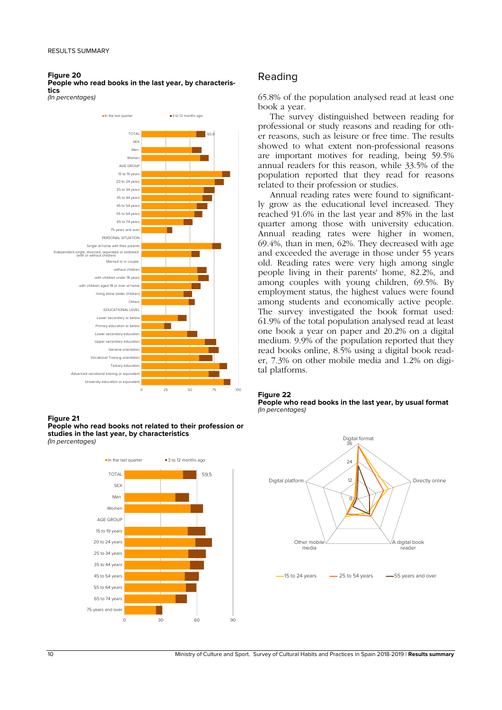**People who read books in the last year, by characteristics** 

(In percentages)



# **Figure 21**

**People who read books not related to their profession or studies in the last year, by characteristics**  (In percentages)



# Reading

65.8% of the population analysed read at least one book a year.

The survey distinguished between reading for professional or study reasons and reading for other reasons, such as leisure or free time. The results showed to what extent non-professional reasons are important motives for reading, being 59.5% annual readers for this reason, while 33.5% of the population reported that they read for reasons related to their profession or studies.

Annual reading rates were found to significantly grow as the educational level increased. They reached 91.6% in the last year and 85% in the last quarter among those with university education. Annual reading rates were higher in women, 69.4%, than in men, 62%. They decreased with age and exceeded the average in those under 55 years old. Reading rates were very high among single people living in their parents' home, 82.2%, and among couples with young children, 69.5%. By employment status, the highest values were found among students and economically active people. The survey investigated the book format used: 61.9% of the total population analysed read at least one book a year on paper and 20.2% on a digital medium. 9.9% of the population reported that they read books online, 8.5% using a digital book reader, 7.3% on other mobile media and 1.2% on digital platforms.

### **Figure 22**

**People who read books in the last year, by usual format**  (In percentages)

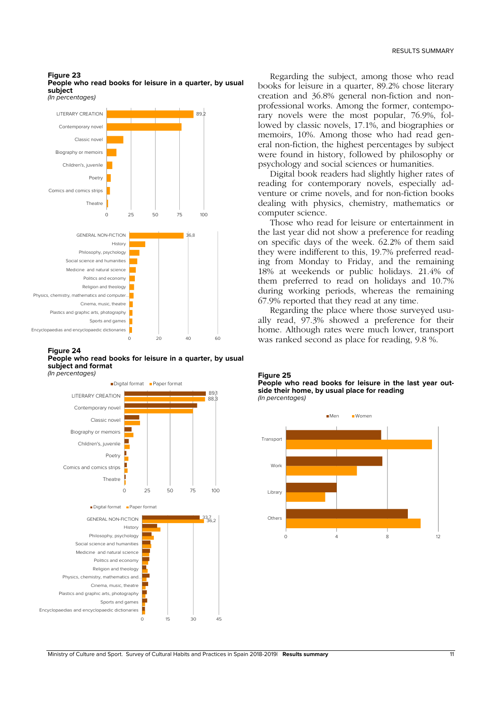**Figure 23 People who read books for leisure in a quarter, by usual subject**  (In percentages)



### **Figure 24**

### **People who read books for leisure in a quarter, by usual subject and format**  (In percentages)



Regarding the subject, among those who read books for leisure in a quarter, 89.2% chose literary creation and 36.8% general non-fiction and nonprofessional works. Among the former, contemporary novels were the most popular, 76.9%, followed by classic novels, 17.1%, and biographies or memoirs, 10%. Among those who had read general non-fiction, the highest percentages by subject were found in history, followed by philosophy or psychology and social sciences or humanities.

Digital book readers had slightly higher rates of reading for contemporary novels, especially adventure or crime novels, and for non-fiction books dealing with physics, chemistry, mathematics or computer science.

Those who read for leisure or entertainment in the last year did not show a preference for reading on specific days of the week. 62.2% of them said they were indifferent to this, 19.7% preferred reading from Monday to Friday, and the remaining 18% at weekends or public holidays. 21.4% of them preferred to read on holidays and 10.7% during working periods, whereas the remaining 67.9% reported that they read at any time.

Regarding the place where those surveyed usually read, 97.3% showed a preference for their home. Although rates were much lower, transport was ranked second as place for reading, 9.8 %.

### **Figure 25**

**People who read books for leisure in the last year outside their home, by usual place for reading**  (In percentages)



Ministry of Culture and Sport. Survey of Cultural Habits and Practices in Spain 2018-2019| **Results summary** 11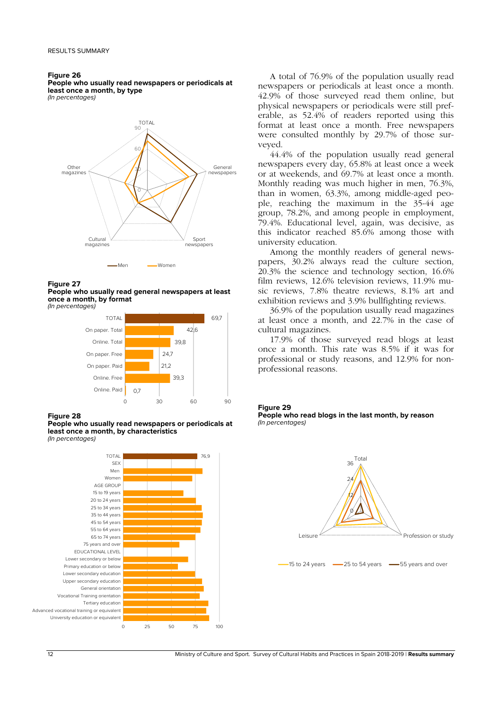**People who usually read newspapers or periodicals at least once a month, by type**  (In percentages)



### **Figure 27**

**People who usually read general newspapers at least once a month, by format** 

(In percentages)



### **Figure 28**

**People who usually read newspapers or periodicals at least once a month, by characteristics**  (In percentages)

76.9 0 25 50 75 100 TOTAL SEX Men Womer AGE GROUP 15 to 19 years 20 to 24 years 25 to 34 years 35 to 44 years 45 to 54 years 55 to 64 years 65 to 74 years 75 years and over EDUCATIONAL LEVEL Lower secondary or below Primary education or below Lower secondary education Upper secondary education General orientation Vocational Training orientation Tertiary education Advanced vocational training or equivalent University education or equivalent

A total of 76.9% of the population usually read newspapers or periodicals at least once a month. 42.9% of those surveyed read them online, but physical newspapers or periodicals were still preferable, as 52.4% of readers reported using this format at least once a month. Free newspapers were consulted monthly by 29.7% of those surveyed.

44.4% of the population usually read general newspapers every day, 65.8% at least once a week or at weekends, and 69.7% at least once a month. Monthly reading was much higher in men, 76.3%, than in women, 63.3%, among middle-aged people, reaching the maximum in the 35-44 age group, 78.2%, and among people in employment, 79.4%. Educational level, again, was decisive, as this indicator reached 85.6% among those with university education.

Among the monthly readers of general newspapers, 30.2% always read the culture section, 20.3% the science and technology section, 16.6% film reviews, 12.6% television reviews, 11.9% music reviews, 7.8% theatre reviews, 8.1% art and exhibition reviews and 3.9% bullfighting reviews.

36.9% of the population usually read magazines at least once a month, and 22.7% in the case of cultural magazines.

17.9% of those surveyed read blogs at least once a month. This rate was 8.5% if it was for professional or study reasons, and 12.9% for nonprofessional reasons.

# **Figure 29**

**People who read blogs in the last month, by reason**  (In percentages)

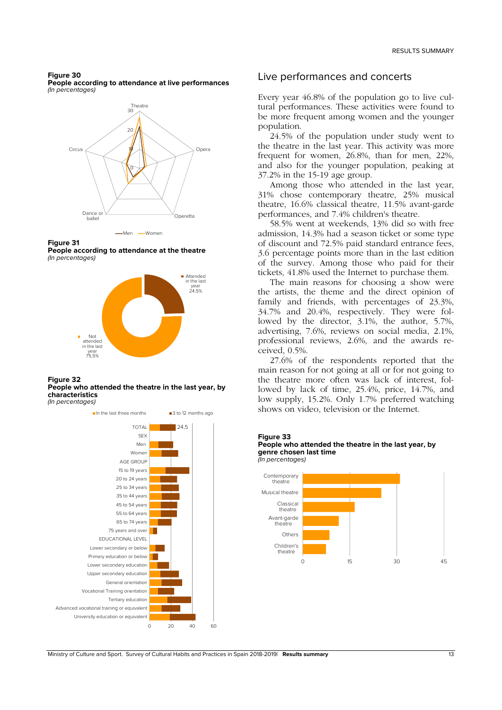**People according to attendance at live performances**  (In percentages)



**Figure 31** 

**People according to attendance at the theatre**  (In percentages)



### **Figure 32 People who attended the theatre in the last year, by characteristics**

(In percentages)



# Live performances and concerts

Every year 46.8% of the population go to live cultural performances. These activities were found to be more frequent among women and the younger population.

24.5% of the population under study went to the theatre in the last year. This activity was more frequent for women, 26.8%, than for men, 22%, and also for the younger population, peaking at 37.2% in the 15-19 age group.

Among those who attended in the last year, 31% chose contemporary theatre, 25% musical theatre, 16.6% classical theatre, 11.5% avant-garde performances, and 7.4% children's theatre.

58.5% went at weekends, 13% did so with free admission, 14.3% had a season ticket or some type of discount and 72.5% paid standard entrance fees, 3.6 percentage points more than in the last edition of the survey. Among those who paid for their tickets, 41.8% used the Internet to purchase them.

The main reasons for choosing a show were the artists, the theme and the direct opinion of family and friends, with percentages of 23.3%, 34.7% and 20.4%, respectively. They were followed by the director, 3.1%, the author, 5.7%, advertising, 7.6%, reviews on social media, 2.1%, professional reviews, 2.6%, and the awards received, 0.5%.

27.6% of the respondents reported that the main reason for not going at all or for not going to the theatre more often was lack of interest, followed by lack of time, 25.4%, price, 14.7%, and low supply, 15.2%. Only 1.7% preferred watching shows on video, television or the Internet.

### **Figure 33 People who attended the theatre in the last year, by genre chosen last time**  (In percentages)

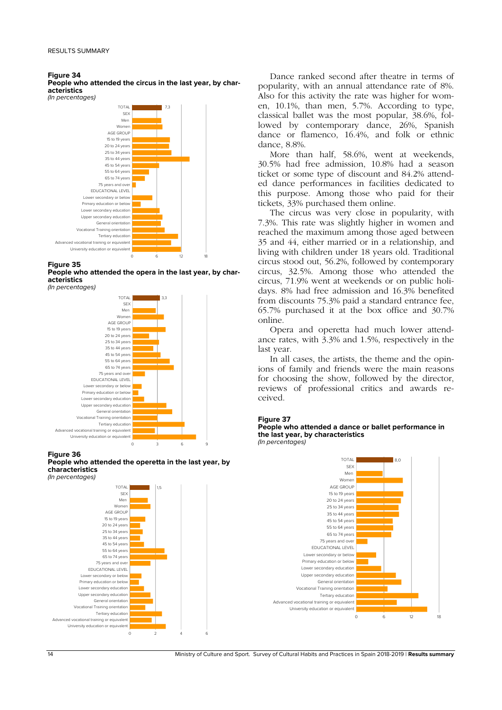### **Figure 34 People who attended the circus in the last year, by characteristics**





### **Figure 35**

**People who attended the opera in the last year, by characteristics** 

(In percentages)



# **Figure 36**

**People who attended the operetta in the last year, by characteristics** 



Dance ranked second after theatre in terms of popularity, with an annual attendance rate of 8%. Also for this activity the rate was higher for women, 10.1%, than men, 5.7%. According to type, classical ballet was the most popular, 38.6%, followed by contemporary dance, 26%, Spanish dance or flamenco, 16.4%, and folk or ethnic dance, 8.8%.

More than half, 58.6%, went at weekends, 30.5% had free admission, 10.8% had a season ticket or some type of discount and 84.2% attended dance performances in facilities dedicated to this purpose. Among those who paid for their tickets, 33% purchased them online.

The circus was very close in popularity, with 7.3%. This rate was slightly higher in women and reached the maximum among those aged between 35 and 44, either married or in a relationship, and living with children under 18 years old. Traditional circus stood out, 56.2%, followed by contemporary circus, 32.5%. Among those who attended the circus, 71.9% went at weekends or on public holidays. 8% had free admission and 16.3% benefited from discounts 75.3% paid a standard entrance fee, 65.7% purchased it at the box office and 30.7% online.

Opera and operetta had much lower attendance rates, with 3.3% and 1.5%, respectively in the last year.

In all cases, the artists, the theme and the opinions of family and friends were the main reasons for choosing the show, followed by the director, reviews of professional critics and awards received.

### **Figure 37**



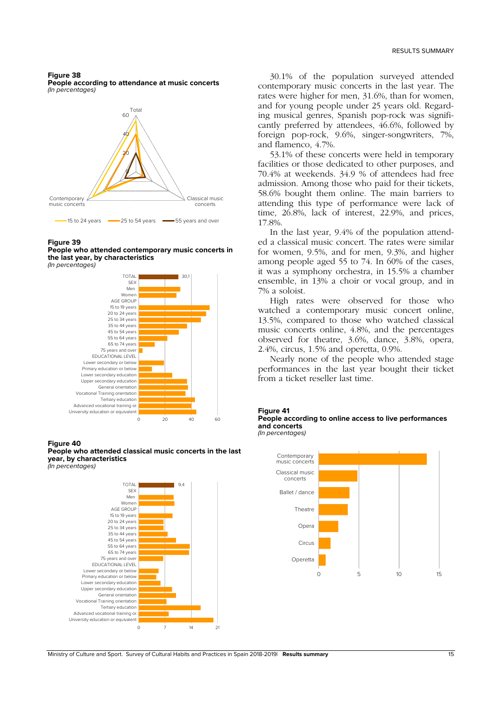**People according to attendance at music concerts**  (In percentages)



### **Figure 39**

**People who attended contemporary music concerts in the last year, by characteristics** 





### **Figure 40**

**People who attended classical music concerts in the last year, by characteristics**  (In percentages)



30.1% of the population surveyed attended contemporary music concerts in the last year. The rates were higher for men, 31.6%, than for women, and for young people under 25 years old. Regarding musical genres, Spanish pop-rock was significantly preferred by attendees, 46.6%, followed by foreign pop-rock, 9.6%, singer-songwriters, 7%, and flamenco, 4.7%.

53.1% of these concerts were held in temporary facilities or those dedicated to other purposes, and 70.4% at weekends. 34.9 % of attendees had free admission. Among those who paid for their tickets, 58.6% bought them online. The main barriers to attending this type of performance were lack of time, 26.8%, lack of interest, 22.9%, and prices, 17.8%.

In the last year, 9.4% of the population attended a classical music concert. The rates were similar for women, 9.5%, and for men, 9.3%, and higher among people aged 55 to 74. In 60% of the cases, it was a symphony orchestra, in 15.5% a chamber ensemble, in 13% a choir or vocal group, and in 7% a soloist.

High rates were observed for those who watched a contemporary music concert online, 13.5%, compared to those who watched classical music concerts online, 4.8%, and the percentages observed for theatre, 3.6%, dance, 3.8%, opera, 2.4%, circus, 1.5% and operetta, 0.9%.

Nearly none of the people who attended stage performances in the last year bought their ticket from a ticket reseller last time.

### **Figure 41**



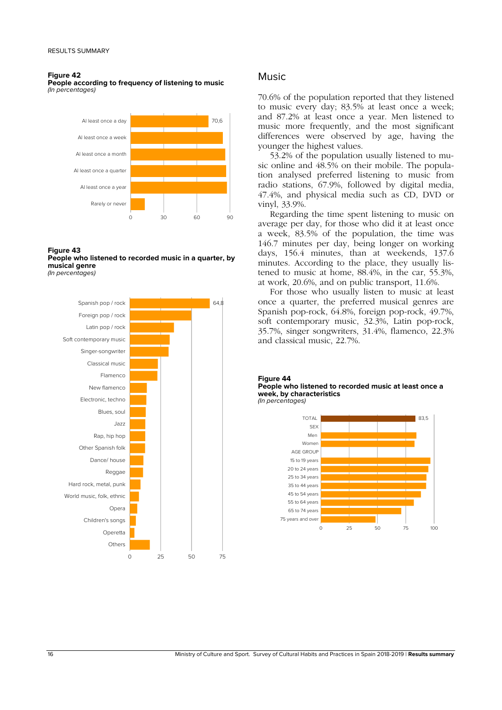**People according to frequency of listening to music**  (In percentages)



**Figure 43** 

# **People who listened to recorded music in a quarter, by musical genre**

(In percentages)



# Music

70.6% of the population reported that they listened to music every day; 83.5% at least once a week; and 87.2% at least once a year. Men listened to music more frequently, and the most significant differences were observed by age, having the younger the highest values.

53.2% of the population usually listened to music online and 48.5% on their mobile. The population analysed preferred listening to music from radio stations, 67.9%, followed by digital media, 47.4%, and physical media such as CD, DVD or vinyl, 33.9%.

Regarding the time spent listening to music on average per day, for those who did it at least once a week, 83.5% of the population, the time was 146.7 minutes per day, being longer on working days, 156.4 minutes, than at weekends, 137.6 minutes. According to the place, they usually listened to music at home, 88.4%, in the car, 55.3%, at work, 20.6%, and on public transport, 11.6%.

For those who usually listen to music at least once a quarter, the preferred musical genres are Spanish pop-rock, 64.8%, foreign pop-rock, 49.7%, soft contemporary music, 32.3%, Latin pop-rock, 35.7%, singer songwriters, 31.4%, flamenco, 22.3% and classical music, 22.7%.



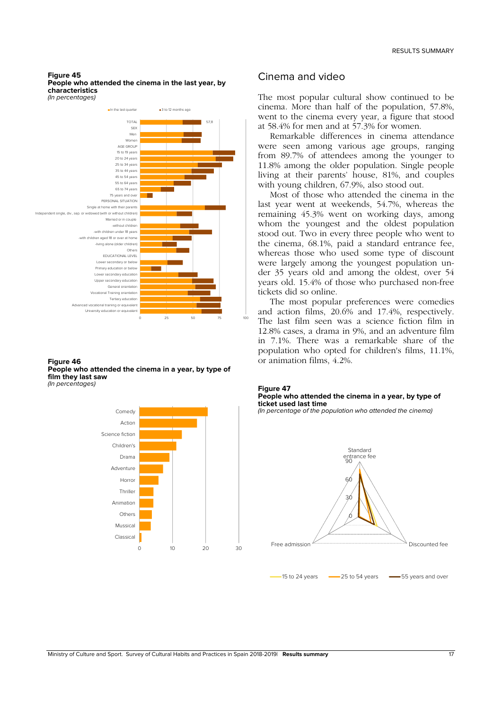### **Figure 45 People who attended the cinema in the last year, by characteristics**



### **Figure 46 People who attended the cinema in a year, by type of film they last saw**

(In percentages)



# Cinema and video

The most popular cultural show continued to be cinema. More than half of the population, 57.8%, went to the cinema every year, a figure that stood at 58.4% for men and at 57.3% for women.

Remarkable differences in cinema attendance were seen among various age groups, ranging from 89.7% of attendees among the younger to 11.8% among the older population. Single people living at their parents' house, 81%, and couples with young children, 67.9%, also stood out.

Most of those who attended the cinema in the last year went at weekends, 54.7%, whereas the remaining 45.3% went on working days, among whom the youngest and the oldest population stood out. Two in every three people who went to the cinema, 68.1%, paid a standard entrance fee, whereas those who used some type of discount were largely among the youngest population under 35 years old and among the oldest, over 54 years old. 15.4% of those who purchased non-free tickets did so online.

The most popular preferences were comedies and action films, 20.6% and 17.4%, respectively. The last film seen was a science fiction film in 12.8% cases, a drama in 9%, and an adventure film in 7.1%. There was a remarkable share of the population who opted for children's films, 11.1%, or animation films, 4.2%.

### **Figure 47 People who attended the cinema in a year, by type of ticket used last time**

(In percentage of the population who attended the cinema)

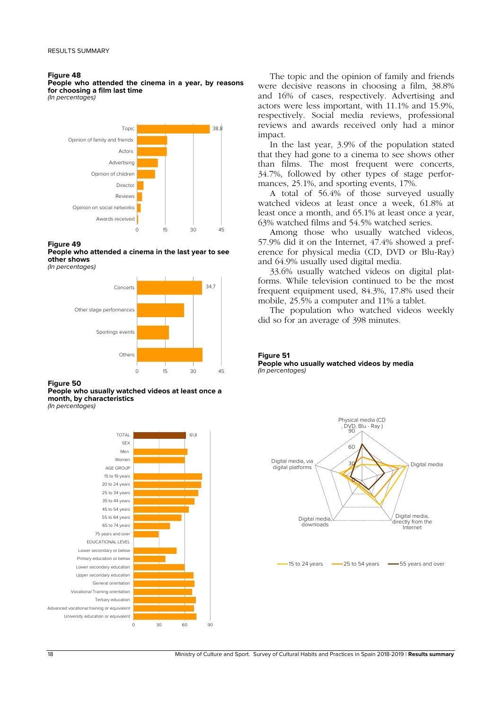**People who attended the cinema in a year, by reasons for choosing a film last time** 

(In percentages)



### **Figure 49**

**People who attended a cinema in the last year to see other shows**  (In percentages)



**Figure 50** 

**People who usually watched videos at least once a month, by characteristics**  (In percentages)



The topic and the opinion of family and friends were decisive reasons in choosing a film, 38.8% and 16% of cases, respectively. Advertising and actors were less important, with 11.1% and 15.9%, respectively. Social media reviews, professional reviews and awards received only had a minor impact.

In the last year, 3.9% of the population stated that they had gone to a cinema to see shows other than films. The most frequent were concerts, 34.7%, followed by other types of stage performances, 25.1%, and sporting events, 17%.

A total of 56.4% of those surveyed usually watched videos at least once a week, 61.8% at least once a month, and 65.1% at least once a year, 63% watched films and 54.5% watched series.

Among those who usually watched videos, 57.9% did it on the Internet, 47.4% showed a preference for physical media (CD, DVD or Blu-Ray) and 64.9% usually used digital media.

33.6% usually watched videos on digital platforms. While television continued to be the most frequent equipment used, 84.3%, 17.8% used their mobile, 25.5% a computer and 11% a tablet.

The population who watched videos weekly did so for an average of 398 minutes.

### **Figure 51 People who usually watched videos by media**  (In percentages)

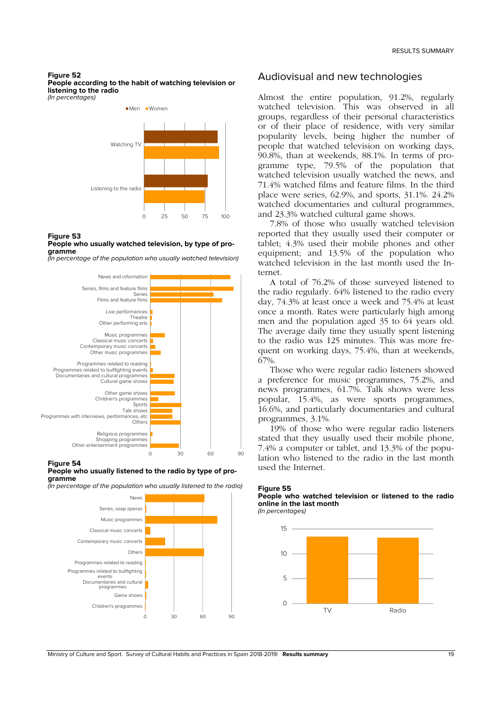### **Figure 52 People according to the habit of watching television or listening to the radio**

(In percentages)



# **Figure 53**

### **People who usually watched television, by type of programme**

(In percentage of the population who usually watched television)



### **People who usually listened to the radio by type of programme**

(In percentage of the population who usually listened to the radio)



# Audiovisual and new technologies

Almost the entire population, 91.2%, regularly watched television. This was observed in all groups, regardless of their personal characteristics or of their place of residence, with very similar popularity levels, being higher the number of people that watched television on working days, 90.8%, than at weekends, 88.1%. In terms of programme type, 79.5% of the population that watched television usually watched the news, and 71.4% watched films and feature films. In the third place were series, 62.9%, and sports, 31.1%. 24.2% watched documentaries and cultural programmes, and 23.3% watched cultural game shows.

7.8% of those who usually watched television reported that they usually used their computer or tablet; 4.3% used their mobile phones and other equipment; and 13.5% of the population who watched television in the last month used the Internet.

A total of 76.2% of those surveyed listened to the radio regularly. 64% listened to the radio every day, 74.3% at least once a week and 75.4% at least once a month. Rates were particularly high among men and the population aged 35 to 64 years old. The average daily time they usually spent listening to the radio was 125 minutes. This was more frequent on working days, 75.4%, than at weekends, 67%.

Those who were regular radio listeners showed a preference for music programmes, 75.2%, and news programmes, 61.7%. Talk shows were less popular, 15.4%, as were sports programmes, 16.6%, and particularly documentaries and cultural programmes, 3.1%.

19% of those who were regular radio listeners stated that they usually used their mobile phone, 7.4% a computer or tablet, and 13.3% of the population who listened to the radio in the last month used the Internet.



**People who watched television or listened to the radio online in the last month**  (In percentages)

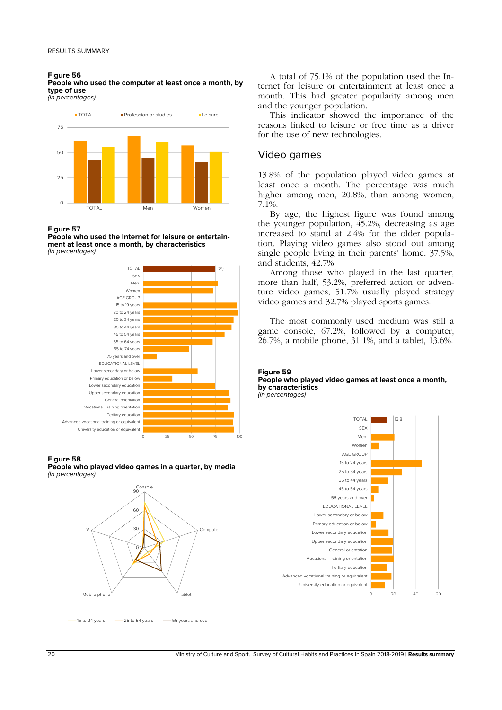**People who used the computer at least once a month, by type of use** 

(In percentages)



### **Figure 57**

**People who used the Internet for leisure or entertainment at least once a month, by characteristics**  (In percentages)



### **Figure 58**

**People who played video games in a quarter, by media**  (In percentages)



A total of 75.1% of the population used the Internet for leisure or entertainment at least once a month. This had greater popularity among men and the younger population.

This indicator showed the importance of the reasons linked to leisure or free time as a driver for the use of new technologies.

# Video games

13.8% of the population played video games at least once a month. The percentage was much higher among men, 20.8%, than among women, 7.1%.

By age, the highest figure was found among the younger population, 45.2%, decreasing as age increased to stand at 2.4% for the older population. Playing video games also stood out among single people living in their parents' home, 37.5%, and students, 42.7%.

Among those who played in the last quarter, more than half, 53.2%, preferred action or adventure video games, 51.7% usually played strategy video games and 32.7% played sports games.

The most commonly used medium was still a game console, 67.2%, followed by a computer, 26.7%, a mobile phone, 31.1%, and a tablet, 13.6%.

### **Figure 59 People who played video games at least once a month, by characteristics**  (In percentages)

13,8 0 20 40 60 TOTAL SEX Men Women AGE GROUP 15 to 24 years 25 to 34 years 35 to 44 years 45 to 54 years 55 years and over EDUCATIONAL LEVEL Lower secondary or below Primary education or below Lower secondary education Upper secondary education General orientation Vocational Training orientation Tertiary education Advanced vocational training or equivalent University education or equivalent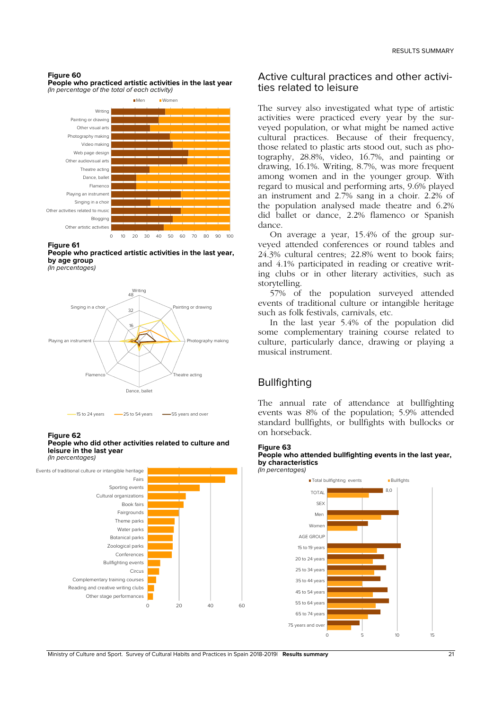**People who practiced artistic activities in the last year**  (In percentage of the total of each activity)



### **Figure 61**

### **People who practiced artistic activities in the last year, by age group**  (In percentages)





# **Figure 62**





# Active cultural practices and other activities related to leisure

The survey also investigated what type of artistic activities were practiced every year by the surveyed population, or what might be named active cultural practices. Because of their frequency, those related to plastic arts stood out, such as photography, 28.8%, video, 16.7%, and painting or drawing, 16.1%. Writing, 8.7%, was more frequent among women and in the younger group. With regard to musical and performing arts, 9.6% played an instrument and 2.7% sang in a choir. 2.2% of the population analysed made theatre and 6.2% did ballet or dance, 2.2% flamenco or Spanish dance.

On average a year, 15.4% of the group surveyed attended conferences or round tables and 24.3% cultural centres; 22.8% went to book fairs; and 4.1% participated in reading or creative writing clubs or in other literary activities, such as storytelling.

57% of the population surveyed attended events of traditional culture or intangible heritage such as folk festivals, carnivals, etc.

In the last year 5.4% of the population did some complementary training course related to culture, particularly dance, drawing or playing a musical instrument.

# **Bullfighting**

The annual rate of attendance at bullfighting events was 8% of the population; 5.9% attended standard bullfights, or bullfights with bullocks or on horseback.

### **Figure 63**

**People who attended bullfighting events in the last year, by characteristics** 

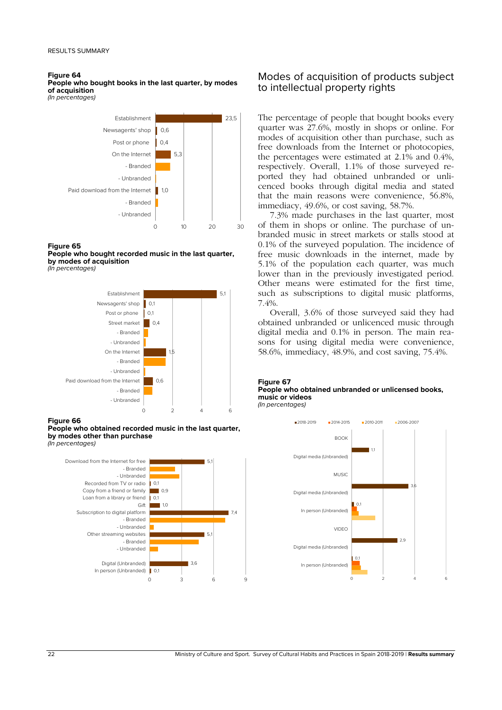### **Figure 64 People who bought books in the last quarter, by modes of acquisition**

(In percentages)



### **Figure 65**

**People who bought recorded music in the last quarter, by modes of acquisition** 

(In percentages)



### **Figure 66**

**People who obtained recorded music in the last quarter, by modes other than purchase**  (In percentages)



# Modes of acquisition of products subject to intellectual property rights

The percentage of people that bought books every quarter was 27.6%, mostly in shops or online. For modes of acquisition other than purchase, such as free downloads from the Internet or photocopies, the percentages were estimated at  $2.1\%$  and  $0.4\%$ , respectively. Overall, 1.1% of those surveyed reported they had obtained unbranded or unlicenced books through digital media and stated that the main reasons were convenience, 56.8%, immediacy, 49.6%, or cost saving, 58.7%.

7.3% made purchases in the last quarter, most of them in shops or online. The purchase of unbranded music in street markets or stalls stood at 0.1% of the surveyed population. The incidence of free music downloads in the internet, made by 5.1% of the population each quarter, was much lower than in the previously investigated period. Other means were estimated for the first time, such as subscriptions to digital music platforms, 7.4%.

Overall, 3.6% of those surveyed said they had obtained unbranded or unlicenced music through digital media and 0.1% in person. The main reasons for using digital media were convenience, 58.6%, immediacy, 48.9%, and cost saving, 75.4%.

# **Figure 67**

### **People who obtained unbranded or unlicensed books, music or videos**  (In percentages)

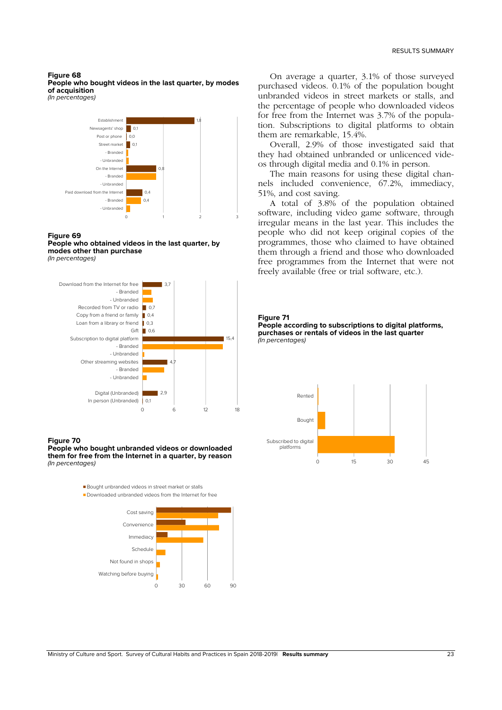### **Figure 68 People who bought videos in the last quarter, by modes of acquisition**

(In percentages)



### **Figure 69**

**People who obtained videos in the last quarter, by modes other than purchase**  (In percentages)



### **Figure 70**

**People who bought unbranded videos or downloaded them for free from the Internet in a quarter, by reason**  (In percentages)

> Bought unbranded videos in street market or stalls Downloaded unbranded videos from the Internet for free



On average a quarter, 3.1% of those surveyed purchased videos. 0.1% of the population bought unbranded videos in street markets or stalls, and the percentage of people who downloaded videos for free from the Internet was 3.7% of the population. Subscriptions to digital platforms to obtain them are remarkable, 15.4%.

Overall, 2.9% of those investigated said that they had obtained unbranded or unlicenced videos through digital media and 0.1% in person.

The main reasons for using these digital channels included convenience, 67.2%, immediacy, 51%, and cost saving.

A total of 3.8% of the population obtained software, including video game software, through irregular means in the last year. This includes the people who did not keep original copies of the programmes, those who claimed to have obtained them through a friend and those who downloaded free programmes from the Internet that were not freely available (free or trial software, etc.).

### **Figure 71**

**People according to subscriptions to digital platforms, purchases or rentals of videos in the last quarter**  (In percentages)

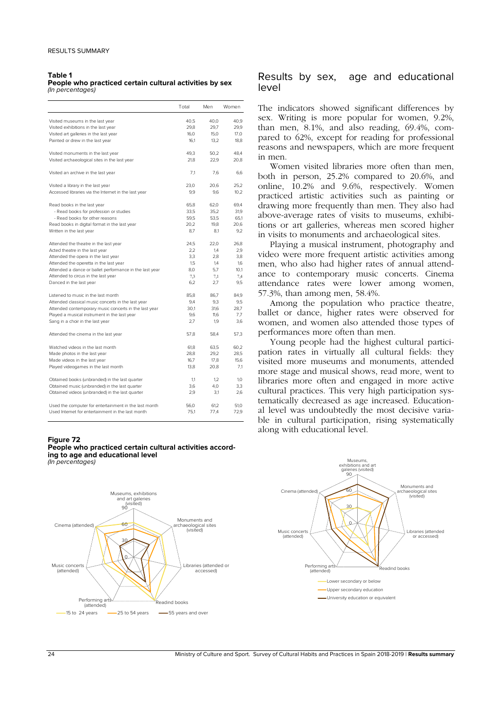### **Table 1 People who practiced certain cultural activities by sex**  (In percentages)

|                                                         | Total | Men  | Women |
|---------------------------------------------------------|-------|------|-------|
| Visited museums in the last year                        | 40,5  | 40,0 | 40,9  |
| Visited exhibitions in the last year                    | 29.8  | 29.7 | 29,9  |
| Visited art galleries in the last year                  | 16,0  | 15,0 | 17,0  |
| Painted or drew in the last year                        | 16,1  | 13,2 | 18,8  |
|                                                         |       |      |       |
| Visited monuments in the last year                      | 49.3  | 50.2 | 48.4  |
| Visited archaeological sites in the last year           | 21,8  | 22,9 | 20,8  |
| Visited an archive in the last year                     | 7.1   | 7.6  | 6.6   |
| Visited a library in the last year                      | 23.0  | 20.6 | 25.2  |
| Accessed libraries via the Internet in the last year    | 9,9   | 9.6  | 10,2  |
| Read books in the last year                             | 65,8  | 62,0 | 69.4  |
| - Read books for profession or studies                  | 33.5  | 35.2 | 31.9  |
| - Read books for other reasons                          | 59.5  | 53.5 | 65.1  |
| Read books in digital format in the last year           | 20,2  | 19.8 | 20,6  |
| Written in the last year                                | 8.7   | 8.1  | 9.2   |
|                                                         |       |      |       |
| Attended the theatre in the last year                   | 24,5  | 22,0 | 26.8  |
| Acted theatre in the last year                          | 2,2   | 1.4  | 2.9   |
| Attended the opera in the last year                     | 3,3   | 2,8  | 3,8   |
| Attended the operetta in the last year                  | 1.5   | 1.4  | 1.6   |
| Attended a dance or ballet performance in the last year | 8.0   | 5.7  | 10.1  |
| Attended to circus in the last year                     | 7.3   | 7,1  | 7,4   |
| Danced in the last year                                 | 6.2   | 2,7  | 9.5   |
| Listened to music in the last month                     | 85.8  | 86.7 | 84,9  |
| Attended classical music concerts in the last year      | 9.4   | 9,3  | 9.5   |
| Attended contemporary music concerts in the last year   | 30,1  | 31,6 | 28,7  |
| Played a musical instrument in the last year            | 9.6   | 11.6 | 7.7   |
| Sang in a choir in the last year                        | 2.7   | 1.9  | 3.6   |
| Attended the cinema in the last year                    | 57,8  | 58.4 | 57,3  |
| Watched videos in the last month                        | 61,8  | 63,5 | 60.2  |
| Made photos in the last year                            | 28,8  | 29,2 | 28,5  |
| Made videos in the last year                            | 16,7  | 17,8 | 15,6  |
| Played videogames in the last month                     | 13,8  | 20,8 | 7,1   |
| Obtained books (unbranded) in the last quarter          | 1.1   | 1.2  | 1.0   |
| Obtained music (unbranded) in the last quarter          | 3.6   | 4.0  | 3.3   |
| Obtained videos (unbranded) in the last quarter         | 2,9   | 3.1  | 2,6   |
|                                                         |       |      |       |
| Used the computer for entertainment in the last month   | 56,0  | 61.2 | 51,0  |
| Used Internet for entertainment in the last month       | 75,1  | 77,4 | 72,9  |

### **Figure 72 People who practiced certain cultural activities according to age and educational level**

(In percentages)



# Results by sex, age and educational level

The indicators showed significant differences by sex. Writing is more popular for women, 9.2%, than men, 8.1%, and also reading, 69.4%, compared to 62%, except for reading for professional reasons and newspapers, which are more frequent in men.

Women visited libraries more often than men, both in person, 25.2% compared to 20.6%, and online, 10.2% and 9.6%, respectively. Women practiced artistic activities such as painting or drawing more frequently than men. They also had above-average rates of visits to museums, exhibitions or art galleries, whereas men scored higher in visits to monuments and archaeological sites.

Playing a musical instrument, photography and video were more frequent artistic activities among men, who also had higher rates of annual attendance to contemporary music concerts. Cinema attendance rates were lower among women, 57.3%, than among men, 58.4%.

Among the population who practice theatre, ballet or dance, higher rates were observed for women, and women also attended those types of performances more often than men.

Young people had the highest cultural participation rates in virtually all cultural fields: they visited more museums and monuments, attended more stage and musical shows, read more, went to libraries more often and engaged in more active cultural practices. This very high participation systematically decreased as age increased. Educational level was undoubtedly the most decisive variable in cultural participation, rising systematically along with educational level.

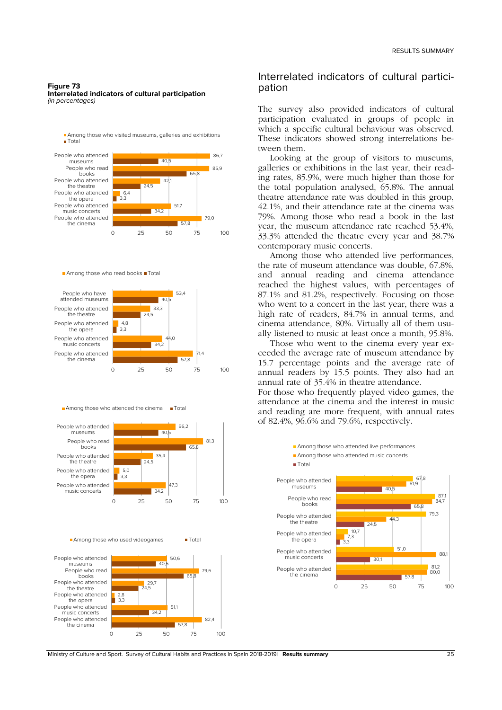### **Figure 73 Interrelated indicators of cultural participation**  (in percentages)



**Among those who read books Total** 



Among those who attended the cinema Total



Among those who used videogames Total



# Interrelated indicators of cultural participation

The survey also provided indicators of cultural participation evaluated in groups of people in which a specific cultural behaviour was observed. These indicators showed strong interrelations between them.

Looking at the group of visitors to museums, galleries or exhibitions in the last year, their reading rates, 85.9%, were much higher than those for the total population analysed, 65.8%. The annual theatre attendance rate was doubled in this group, 42.1%, and their attendance rate at the cinema was 79%. Among those who read a book in the last year, the museum attendance rate reached 53.4%, 33.3% attended the theatre every year and 38.7% contemporary music concerts.

Among those who attended live performances, the rate of museum attendance was double, 67.8%, and annual reading and cinema attendance reached the highest values, with percentages of 87.1% and 81.2%, respectively. Focusing on those who went to a concert in the last year, there was a high rate of readers, 84.7% in annual terms, and cinema attendance, 80%. Virtually all of them usually listened to music at least once a month, 95.8%.

Those who went to the cinema every year exceeded the average rate of museum attendance by 15.7 percentage points and the average rate of annual readers by 15.5 points. They also had an annual rate of 35.4% in theatre attendance.

For those who frequently played video games, the attendance at the cinema and the interest in music and reading are more frequent, with annual rates of 82.4%, 96.6% and 79.6%, respectively.



Ministry of Culture and Sport. Survey of Cultural Habits and Practices in Spain 2018-2019| **Results summary** 25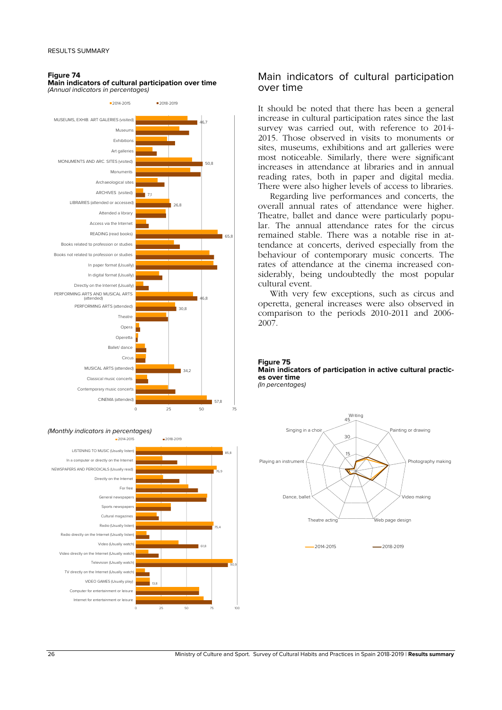**Main indicators of cultural participation over time**  (Annual indicators in percentages)



### (Monthly indicators in percentages)



# Main indicators of cultural participation over time

It should be noted that there has been a general increase in cultural participation rates since the last survey was carried out, with reference to 2014- 2015. Those observed in visits to monuments or sites, museums, exhibitions and art galleries were most noticeable. Similarly, there were significant increases in attendance at libraries and in annual reading rates, both in paper and digital media. There were also higher levels of access to libraries.

Regarding live performances and concerts, the overall annual rates of attendance were higher. Theatre, ballet and dance were particularly popular. The annual attendance rates for the circus remained stable. There was a notable rise in attendance at concerts, derived especially from the behaviour of contemporary music concerts. The rates of attendance at the cinema increased considerably, being undoubtedly the most popular cultural event.

With very few exceptions, such as circus and operetta, general increases were also observed in comparison to the periods 2010-2011 and 2006- 2007.



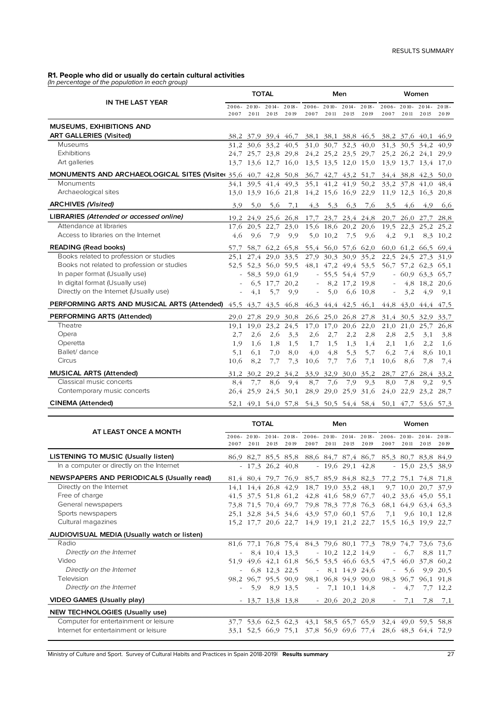# **R1. People who did or usually do certain cultural activities**  (In percentage of the population in each group)

|                                                                 | <b>TOTAL</b>     |                  |                     |                     |                                         |           | Men                 |                     | Women                                                       |                  |                     |                  |  |
|-----------------------------------------------------------------|------------------|------------------|---------------------|---------------------|-----------------------------------------|-----------|---------------------|---------------------|-------------------------------------------------------------|------------------|---------------------|------------------|--|
| <b>IN THE LAST YEAR</b>                                         | $2006 -$<br>2007 | $2010 -$<br>2011 | $2014 -$<br>2015    | $2018 -$<br>2019    | $2006 - 2010 -$<br>2007                 | 2011      | $2014 -$<br>2015    | $2018 -$<br>2019    | $2006 -$<br>2007                                            | $2010 -$<br>2011 | $2014 -$<br>2015    | $2018 -$<br>2019 |  |
| <b>MUSEUMS, EXHIBITIONS AND</b>                                 |                  |                  |                     |                     |                                         |           |                     |                     |                                                             |                  |                     |                  |  |
| <b>ART GALLERIES (Visited)</b>                                  |                  |                  |                     | 38,2 37,9 39,4 46,7 |                                         |           |                     | 38,1 38,1 38,8 46,5 |                                                             |                  | 38,2 37,6 40,1 46,9 |                  |  |
| Museums                                                         |                  |                  | 31,2 30,6 33,2 40,5 |                     |                                         |           | 31,0 30,7 32,3 40,0 |                     |                                                             |                  | 31,3 30,5 34,2 40,9 |                  |  |
| Exhibitions                                                     |                  |                  |                     |                     | 24,7 25,7 23,8 29,8 24,2 25,2 23,5 29,7 |           |                     |                     |                                                             |                  | 25,2 26,2 24,1 29,9 |                  |  |
| Art galleries                                                   |                  |                  | 13,7 13,6 12,7 16,0 |                     |                                         |           | 13.5 13.5 12.0 15.0 |                     |                                                             |                  | 13,9 13,7 13,4 17,0 |                  |  |
| MONUMENTS AND ARCHAEOLOGICAL SITES (Visited 35,6 40,7 42,8 50,8 |                  |                  |                     |                     |                                         |           |                     | 36,7 42,7 43,2 51,7 |                                                             |                  | 34,4 38,8 42,3 50,0 |                  |  |
| Monuments                                                       |                  |                  |                     | 34.1 39.5 41.4 49.3 |                                         |           |                     | 35,1 41,2 41,9 50,2 |                                                             |                  | 33.2 37.8 41.0 48.4 |                  |  |
| Archaeological sites                                            |                  |                  |                     |                     |                                         |           |                     |                     | 13.0 13.9 16.6 21.8 14.2 15.6 16.9 22.9 11.9 12.3 16.3 20.8 |                  |                     |                  |  |
| <b>ARCHIVES (Visited)</b>                                       | 3.9              | 5,0              | 5,6                 | 7,1                 |                                         | $4,3$ 5,3 | 6,3                 | 7,6                 | 3,5                                                         | 4.6              | 4,9                 | 6,6              |  |
| LIBRARIES (Attended or accessed online)                         |                  |                  |                     |                     | 19,2 24,9 25,6 26,8 17,7 23,7 23,4 24,8 |           |                     |                     |                                                             | 20,7 26,0 27,7   |                     | 28,8             |  |
| Attendance at libraries                                         |                  |                  |                     | 17,6 20,5 22,7 23,0 |                                         |           | 15,6 18,6 20,2 20,6 |                     | 19,5                                                        |                  | 22,3 25,2           | 25.2             |  |
| Access to libraries on the Internet                             | 4,6              | 9,6              | 7,9                 | 9,9                 |                                         | 5,0 10,2  | 7,5                 | 9,6                 | 4,2                                                         | 9,1              |                     | 8,3 10,2         |  |
| <b>READING (Read books)</b>                                     | 57.7             | 58.7             |                     |                     | 62.2 65.8 55.4 56.0 57.6 62.0           |           |                     |                     |                                                             |                  | 60.0 61.2 66.5 69.4 |                  |  |
| Books related to profession or studies                          | 25.1             |                  | 27,4 29,0 33,5      |                     |                                         |           | 27,9 30,3 30,9 35,2 |                     |                                                             |                  | 22,5 24,5 27,3      | 31.9             |  |
| Books not related to profession or studies                      |                  |                  |                     | 52,5 52,3 56,0 59,5 |                                         |           |                     | 48,1 47,2 49,4 53,5 |                                                             |                  | 56.7 57.2 62.3 65.1 |                  |  |
| In paper format (Usually use)                                   |                  |                  | 58,3 59,0 61,9      |                     |                                         |           | $-55.554.457.9$     |                     |                                                             |                  | $-60.963.365.7$     |                  |  |
| In digital format (Usually use)                                 |                  |                  | 6,5 17,7 20,2       |                     | $\overline{\phantom{a}}$                |           | 8.2 17.2 19.8       |                     |                                                             | 4.8              | 18,2                | 20,6             |  |
| Directly on the Internet (Usually use)                          |                  | 4,1              | 5,7                 | 9,9                 | $\overline{\phantom{a}}$                | 5,0       |                     | 6,6 10,8            | $\overline{\phantom{a}}$                                    | 3,2              | 4,9                 | 9,1              |  |
| PERFORMING ARTS AND MUSICAL ARTS (Attended)                     |                  | 45,5 43,7        |                     |                     |                                         |           |                     |                     | 43,5 46,8 46,3 44,4 42,5 46,1 44,8 43,0 44,4 47,5           |                  |                     |                  |  |
| PERFORMING ARTS (Attended)                                      |                  |                  |                     | 29,0 27,8 29,9 30,8 |                                         |           | 26,6 25,0 26,8 27,8 |                     |                                                             |                  | 31,4 30,5 32,9 33,7 |                  |  |
| Theatre                                                         | 19,1             |                  | 19,0 23,2 24,5      |                     |                                         |           | 17,0 17,0 20,6      | 22,0                | 21,0                                                        | 21,0             | 25,7                | 26,8             |  |
| Opera                                                           | 2,7              | 2,6              | 2,6                 | 3,3                 | 2,6                                     | 2,7       | 2,2                 | 2,8                 | 2,8                                                         | 2,5              | 3,1                 | 3,8              |  |
| Operetta                                                        | 1,9              | 1.6              | 1.8                 | 1,5                 | 1,7                                     | 1.5       | 1,3                 | 1,4                 | 2,1                                                         | 1.6              | 2,2                 | 1,6              |  |
| Ballet/ dance                                                   | 5,1              | 6,1              | 7,0                 | 8,0                 | 4,0                                     | 4,8       | 5,3                 | 5,7                 | 6,2                                                         | 7,4              | 8,6                 | 10,1             |  |
| Circus                                                          | 10,6             | 8,2              | 7,7                 | 7,3                 | 10,6                                    | 7,7       | 7,6                 | 7,1                 | 10,6                                                        | 8,6              | 7,8                 | 7,4              |  |
| <b>MUSICAL ARTS (Attended)</b>                                  |                  |                  | 31,2 30,2 29,2 34,2 |                     |                                         |           |                     | 33,9 32,9 30,0 35,2 | 28,7                                                        |                  | 27,6 28,4 33,2      |                  |  |
| Classical music concerts                                        | 8,4              | 7,7              | 8,6                 | 9,4                 | 8,7                                     | 7,6       | 7,9                 | 9,3                 | 8,0                                                         | 7.8              | 9,2                 | 9,5              |  |
| Contemporary music concerts                                     |                  |                  | 26,4 25,9 24,5 30,1 |                     |                                         |           | 28,9 29,0 25,9 31,6 |                     |                                                             |                  | 24,0 22,9 23,2      | 28,7             |  |
| <b>CINEMA (Attended)</b>                                        |                  |                  |                     |                     |                                         |           |                     |                     | 52,1 49,1 54,0 57,8 54,3 50,5 54,4 58,4 50,1 47,7 53,6 57,3 |                  |                     |                  |  |

|                                             | <b>TOTAL</b> |      |                     |                     |                                         |      | Men               |                     | Women                                                                |        |                     |          |  |
|---------------------------------------------|--------------|------|---------------------|---------------------|-----------------------------------------|------|-------------------|---------------------|----------------------------------------------------------------------|--------|---------------------|----------|--|
| AT LEAST ONCE A MONTH                       | 2007         | 2011 | 2015                | 2019                | 2007                                    | 2011 | 2015              | 2019                | 2006-2010-2014-2018-2006-2010-2014-2018-2006-2010-2014-2018-<br>2007 | 2011   | 2015                | 2019     |  |
| <b>LISTENING TO MUSIC (Usually listen)</b>  |              |      |                     |                     |                                         |      |                   |                     | 86,9 82,7 85,5 85,8 88,6 84,7 87,4 86,7 85,3 80,7 83,8 84,9          |        |                     |          |  |
| In a computer or directly on the Internet   |              |      | $-17.3$ 26.2 40.8   |                     |                                         |      | $-19,6$ 29,1 42,8 |                     |                                                                      |        | $-15,0$ 23,5 38,9   |          |  |
| NEWSPAPERS AND PERIODICALS (Usually read)   |              |      |                     |                     |                                         |      |                   |                     | 81,4 80,4 79,7 76,9 85,7 85,9 84,8 82,3 77,2 75,1 74,8 71,8          |        |                     |          |  |
| Directly on the Internet                    |              |      |                     |                     | 14,1 14,4 26,8 42,9 18,7 19,0 33,2 48,1 |      |                   |                     |                                                                      |        | 9,7 10,0 20,7 37,9  |          |  |
| Free of charge                              |              |      |                     |                     | 41,5 37,5 51,8 61,2 42,8 41,6 58,9 67,7 |      |                   |                     |                                                                      |        | 40.2 33.6 45.0 55.1 |          |  |
| General newspapers                          |              |      |                     |                     | 73.8 71.5 70.4 69.7 79.8 78.3 77.8 76.3 |      |                   |                     |                                                                      |        | 68,1 64,9 63,4 63,3 |          |  |
| Sports newspapers                           |              |      |                     |                     | 25.1 32.8 34.5 34.6 43.9 57.0 60.1 57.6 |      |                   |                     | 7,1                                                                  |        | 9.6 10.1 12.8       |          |  |
| Cultural magazines                          |              |      |                     |                     |                                         |      |                   |                     | 15,2 17,7 20,6 22,7 14,9 19,1 21,2 22,7 15,5 16,3 19,9 22,7          |        |                     |          |  |
| AUDIOVISUAL MEDIA (Usually watch or listen) |              |      |                     |                     |                                         |      |                   |                     |                                                                      |        |                     |          |  |
| Radio                                       |              |      |                     |                     |                                         |      |                   |                     | 81,6 77,1 76,8 75,4 84,3 79,6 80,1 77,3 78,9 74,7 73,6 73,6          |        |                     |          |  |
| Directly on the Internet                    |              |      |                     | $-8.4$ 10.4 13.3    |                                         |      |                   | $-10,2$ 12,2 14,9   |                                                                      | $-6.7$ |                     | 8,8 11,7 |  |
| Video                                       |              |      |                     |                     | 51,9 49,6 42,1 61,8 56,5 53,5 46,6 63,5 |      |                   |                     |                                                                      |        | 47,5 46,0 37,8 60,2 |          |  |
| Directly on the Internet                    |              |      |                     | $-6.8$ 12.3 22.5    |                                         |      |                   | $-8,1$ 14,9 24,6    | $\sim$                                                               |        | 5.6 9.9 20.5        |          |  |
| Television                                  |              |      |                     |                     | 98,2 96,7 95,5 90,9 98,1 96,8 94,9 90,0 |      |                   |                     |                                                                      |        | 98,3 96,7 96,1 91,8 |          |  |
| Directly on the Internet                    |              |      |                     | $-5,98,913,5$       |                                         |      |                   | $-7,1$ 10,1 14,8    | $\sim$                                                               | 4,7    |                     | 7,7 12,2 |  |
| <b>VIDEO GAMES (Usually play)</b>           |              |      |                     | $-13,7$ 13,8 13,8   |                                         |      |                   | $-20,620,220,8$     |                                                                      | $-7,1$ | 7,8                 | 7.1      |  |
| <b>NEW TECHNOLOGIES (Usually use)</b>       |              |      |                     |                     |                                         |      |                   |                     |                                                                      |        |                     |          |  |
| Computer for entertainment or leisure       |              |      |                     | 37,7 53,6 62,5 62,3 |                                         |      |                   |                     | 43,1 58,5 65,7 65,9 32,4 49,0 59,5 58,8                              |        |                     |          |  |
| Internet for entertainment or leisure       |              |      | 33,1 52,5 66,9 75,1 |                     |                                         |      |                   | 37,8 56,9 69,6 77,4 |                                                                      |        | 28,6 48,3 64,4 72,9 |          |  |

Ministry of Culture and Sport. Survey of Cultural Habits and Practices in Spain 2018-2019| **Results summary** 27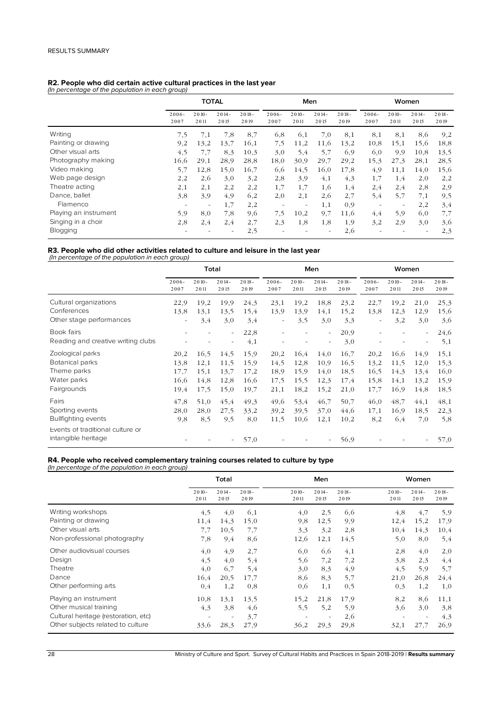### **R2. People who did certain active cultural practices in the last year**

(In percentage of the population in each group)

|                       |                          | <b>TOTAL</b>             |                  |                  |                  | Men              |                  |                  | Women            |                  |                          |                  |  |  |
|-----------------------|--------------------------|--------------------------|------------------|------------------|------------------|------------------|------------------|------------------|------------------|------------------|--------------------------|------------------|--|--|
|                       | $2006 -$<br>2007         | $2010 -$<br>2011         | $2014 -$<br>2015 | $2018 -$<br>2019 | $2006 -$<br>2007 | $2010 -$<br>2011 | $2014 -$<br>2015 | $2018 -$<br>2019 | $2006 -$<br>2007 | $2010 -$<br>2011 | $2014 -$<br>2015         | $2018 -$<br>2019 |  |  |
| Writing               | 7,5                      | 7,1                      | 7.8              | 8,7              | 6,8              | 6,1              | 7,0              | 8,1              | 8,1              | 8,1              | 8.6                      | 9,2              |  |  |
| Painting or drawing   | 9,2                      | 13,2                     | 13,7             | 16,1             | 7,5              | 11,2             | 11,6             | 13.2             | 10,8             | 15,1             | 15.6                     | 18,8             |  |  |
| Other visual arts     | 4,5                      | 7.7                      | 8,3              | 10.3             | 3,0              | 5.4              | 5,7              | 6,9              | 6,0              | 9.9              | 10.8                     | 13,5             |  |  |
| Photography making    | 16.6                     | 29,1                     | 28,9             | 28,8             | 18,0             | 30,9             | 29,7             | 29,2             | 15,3             | 27,3             | 28,1                     | 28,5             |  |  |
| Video making          | 5,7                      | 12,8                     | 15,0             | 16.7             | 6,6              | 14,5             | 16,0             | 17,8             | 4,9              | 11,1             | 14,0                     | 15,6             |  |  |
| Web page design       | 2,2                      | 2,6                      | 3.0              | 3,2              | 2,8              | 3,9              | 4,1              | 4,3              | 1,7              | 1,4              | 2,0                      | 2,2              |  |  |
| Theatre acting        | 2,1                      | 2,1                      | 2,2              | 2,2              | 1,7              | 1,7              | 1,6              | 1,4              | 2,4              | 2,4              | 2,8                      | 2,9              |  |  |
| Dance, ballet         | 3,8                      | 3,9                      | 4,9              | 6,2              | 2,0              | 2,1              | 2,6              | 2,7              | 5,4              | 5,7              | 7,1                      | 9,5              |  |  |
| Flamenco              | ٠                        | $\overline{\phantom{a}}$ | 1,7              | 2,2              | ٠                | ٠                | 1,1              | 0,9              | ۰                | ۰                | 2,2                      | 3,4              |  |  |
| Playing an instrument | 5,9                      | 8,0                      | 7.8              | 9,6              | 7,5              | 10.2             | 9,7              | 11,6             | 4,4              | 5,9              | 6,0                      | 7,7              |  |  |
| Singing in a choir    | 2,8                      | 2,4                      | 2,4              | 2,7              | 2,3              | 1,8              | 1,8              | 1,9              | 3,2              | 2,9              | 3.0                      | 3,6              |  |  |
| Blogging              | $\overline{\phantom{a}}$ |                          | -                | 2,5              |                  |                  | ۰                | 2,6              |                  | ۰                | $\overline{\phantom{a}}$ | 2,3              |  |  |

# **R3. People who did other activities related to culture and leisure in the last year**  (In percentage of the population in each group)

|                                    |                          | Total            |                          |                  |                  |                  | Men                      |                  | Women            |                  |                          |                  |  |  |
|------------------------------------|--------------------------|------------------|--------------------------|------------------|------------------|------------------|--------------------------|------------------|------------------|------------------|--------------------------|------------------|--|--|
|                                    | $2006 -$<br>2007         | $2010 -$<br>2011 | $2014 -$<br>2015         | $2018 -$<br>2019 | $2006 -$<br>2007 | $2010 -$<br>2011 | $2014 -$<br>2015         | $2018 -$<br>2019 | $2006 -$<br>2007 | $2010 -$<br>2011 | $2014 -$<br>2015         | $2018 -$<br>2019 |  |  |
| Cultural organizations             | 22,9                     | 19,2             | 19,9                     | 24,3             | 23,1             | 19,2             | 18,8                     | 23,2             | 22,7             | 19,2             | 21,0                     | 25,3             |  |  |
| Conferences                        | 13,8                     | 13,1             | 13,5                     | 15,4             | 13,9             | 13,9             | 14,1                     | 15,2             | 13,8             | 12,3             | 12,9                     | 15,6             |  |  |
| Other stage performances           | $\overline{\phantom{0}}$ | 3,4              | 3,0                      | 3,4              | -                | 3,5              | 3,0                      | 3,3              | $\overline{a}$   | 3,2              | 3,0                      | 3,6              |  |  |
| Book fairs                         | $\overline{\phantom{a}}$ |                  | $\overline{\phantom{0}}$ | 22,8             |                  |                  | $\overline{\phantom{a}}$ | 20,9             |                  | ۰                | $\overline{\phantom{a}}$ | 24,6             |  |  |
| Reading and creative writing clubs |                          |                  |                          | 4,1              |                  |                  | $\overline{\phantom{a}}$ | 3,0              |                  |                  | $\overline{\phantom{a}}$ | 5,1              |  |  |
| Zoological parks                   | 20,2                     | 16.5             | 14,5                     | 15,9             | 20,2             | 16.4             | 14,0                     | 16.7             | 20,2             | 16.6             | 14.9                     | 15,1             |  |  |
| Botanical parks                    | 13,8                     | 12,1             | 11,5                     | 15,9             | 14,5             | 12,8             | 10,9                     | 16,5             | 13,2             | 11,5             | 12,0                     | 15,3             |  |  |
| Theme parks                        | 17,7                     | 15,1             | 13,7                     | 17,2             | 18,9             | 15,9             | 14,0                     | 18,5             | 16,5             | 14,3             | 13,4                     | 16,0             |  |  |
| Water parks                        | 16.6                     | 14,8             | 12,8                     | 16,6             | 17,5             | 15,5             | 12,3                     | 17,4             | 15,8             | 14,1             | 13,2                     | 15,9             |  |  |
| Fairgrounds                        | 19,4                     | 17,5             | 15,0                     | 19,7             | 21,1             | 18,2             | 15,2                     | 21,0             | 17,7             | 16,9             | 14,8                     | 18,5             |  |  |
| Fairs                              | 47,8                     | 51,0             | 45,4                     | 49,3             | 49,6             | 53,4             | 46,7                     | 50,7             | 46,0             | 48,7             | 44,1                     | 48,1             |  |  |
| Sporting events                    | 28,0                     | 28,0             | 27,5                     | 33,2             | 39,2             | 39,5             | 37,0                     | 44,6             | 17,1             | 16,9             | 18,5                     | 22,3             |  |  |
| <b>Bullfighting events</b>         | 9,8                      | 8,5              | 9,5                      | 8,0              | 11,5             | 10,6             | 12,1                     | 10,2             | 8,2              | 6,4              | 7,0                      | 5,8              |  |  |
| Events of traditional culture or   |                          |                  |                          |                  |                  |                  |                          |                  |                  |                  |                          |                  |  |  |
| intangible heritage                | $\overline{\phantom{a}}$ |                  |                          | 57,0             |                  |                  |                          | 56,9             |                  |                  | $\overline{\phantom{a}}$ | 57,0             |  |  |

# **R4. People who received complementary training courses related to culture by type** (In percentage of the population in each group)

|                                      | Total            |                  |                  |                  | Men              |                  | Women            |                  |                  |  |  |  |
|--------------------------------------|------------------|------------------|------------------|------------------|------------------|------------------|------------------|------------------|------------------|--|--|--|
|                                      | $2010 -$<br>2011 | $2014 -$<br>2015 | $2018 -$<br>2019 | $2010 -$<br>2011 | $2014 -$<br>2015 | $2018 -$<br>2019 | $2010 -$<br>2011 | $2014 -$<br>2015 | $2018 -$<br>2019 |  |  |  |
| Writing workshops                    | 4,5              | 4,0              | 6,1              | 4,0              | 2,5              | 6.6              | 4,8              | 4,7              | 5,9              |  |  |  |
| Painting or drawing                  | 11,4             | 14,3             | 15,0             | 9,8              | 12.5             | 9,9              | 12,4             | 15,2             | 17,9             |  |  |  |
| Other visual arts                    | 7,7              | 10,5             | 7,7              | 3,3              | 3,2              | 2,8              | 10,4             | 14,3             | 10,4             |  |  |  |
| Non-professional photography         | 7,8              | 9,4              | 8,6              | 12,6             | 12,1             | 14,5             | 5,0              | 8,0              | 5,4              |  |  |  |
| Other audiovisual courses            | 4,0              | 4,9              | 2,7              | 6,0              | 6,6              | 4,1              | 2,8              | 4,0              | 2,0              |  |  |  |
| Design                               | 4,5              | 4,0              | 5,4              | 5,6              | 7,2              | 7,2              | 3,8              | 2,3              | 4,4              |  |  |  |
| Theatre                              | 4,0              | 6,7              | 5,4              | 3,0              | 8,3              | 4,9              | 4,5              | 5,9              | 5,7              |  |  |  |
| Dance                                | 16,4             | 20,5             | 17,7             | 8,6              | 8,3              | 5,7              | 21,0             | 26,8             | 24,4             |  |  |  |
| Other performing arts                | 0,4              | 1,2              | 0,8              | 0,6              | 1,1              | 0,5              | 0,3              | 1,2              | 1,0              |  |  |  |
| Playing an instrument                | 10,8             | 13,1             | 13,5             | 15,2             | 21,8             | 17,9             | 8,2              | 8,6              | 11,1             |  |  |  |
| Other musical training               | 4,3              | 3,8              | 4,6              | 5,5              | 5,2              | 5,9              | 3,6              | 3,0              | 3,8              |  |  |  |
| Cultural heritage (restoration, etc) |                  |                  | 3,7              |                  |                  | 2,6              |                  |                  | 4,3              |  |  |  |
| Other subjects related to culture    | 33,6             | 28,3             | 27,9             | 36,2             | 29,3             | 29,8             | 32,1             | 27,7             | 26,9             |  |  |  |

28 Ministry of Culture and Sport. Survey of Cultural Habits and Practices in Spain 2018-2019 | **Results summary**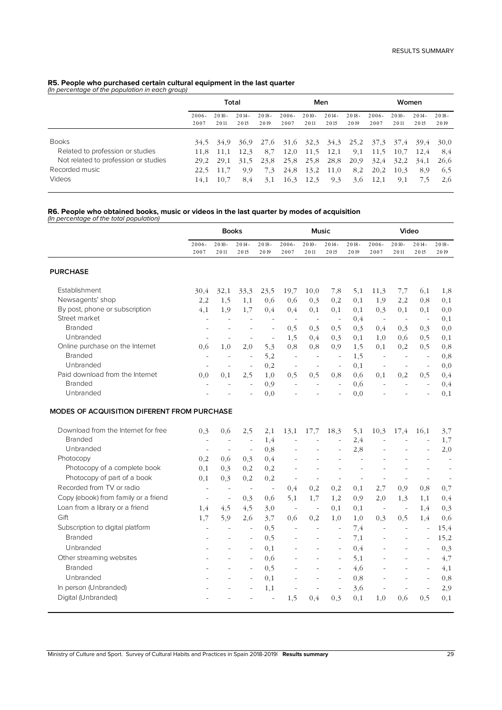# **R5. People who purchased certain cultural equipment in the last quarter**  (In percentage of the population in each group)

|                                                                                                                      |                                      |                                      | Men                                |                                   |                              | Women                        |                             |                           |                                                                    |                             |                            |                                   |
|----------------------------------------------------------------------------------------------------------------------|--------------------------------------|--------------------------------------|------------------------------------|-----------------------------------|------------------------------|------------------------------|-----------------------------|---------------------------|--------------------------------------------------------------------|-----------------------------|----------------------------|-----------------------------------|
|                                                                                                                      | $2006 -$<br>2007                     | $2010 -$<br>2011                     | $2014 -$<br>2015                   | $2018 -$<br>2019                  | $2006 -$<br>2007             | $2010 -$<br>2011             | $2014 -$<br>2015            | $2018 -$<br>2019          | $2006 -$<br>2007                                                   | $2010 -$<br>2011            | $2014 -$<br>2015           | $2018 -$<br>2019                  |
| <b>Books</b><br>Related to profession or studies<br>Not related to profession or studies<br>Recorded music<br>Videos | 34.5<br>11.8<br>29.2<br>22.5<br>14,1 | 34.9<br>11.1<br>29,1<br>11.7<br>10,7 | 36.9<br>12.3<br>31,5<br>9.9<br>8.4 | 27.6<br>8,7<br>23.8<br>7.3<br>3,1 | 12,0<br>25,8<br>24,8<br>16,3 | 11.5<br>25,8<br>13,2<br>12,3 | 12,1<br>28,8<br>11,0<br>9,3 | 9,1<br>20.9<br>8,2<br>3,6 | 31,6 32,3 34,3 25,2 37,3 37,4 39,4<br>11,5<br>32,4<br>20,2<br>12,1 | 10.7<br>32,2<br>10.3<br>9,1 | 12.4<br>34.1<br>8.9<br>7.5 | 30.0<br>8.4<br>26,6<br>6.5<br>2,6 |

# **R6. People who obtained books, music or videos in the last quarter by modes of acquisition**<br>(In percentage of the total population)

|                                             | <b>Books</b>     |                  |                          |                          |                          | <b>Music</b>             |                          |                  | Video                    |                          |                          |                  |  |
|---------------------------------------------|------------------|------------------|--------------------------|--------------------------|--------------------------|--------------------------|--------------------------|------------------|--------------------------|--------------------------|--------------------------|------------------|--|
|                                             | $2006 -$<br>2007 | $2010 -$<br>2011 | $2014 -$<br>2015         | $2018 -$<br>2019         | $2006 -$<br>2007         | $2010 -$<br>2011         | $2014 -$<br>2015         | $2018 -$<br>2019 | $2006 -$<br>2007         | $2010 -$<br>2011         | $2014 -$<br>2015         | $2018 -$<br>2019 |  |
| <b>PURCHASE</b>                             |                  |                  |                          |                          |                          |                          |                          |                  |                          |                          |                          |                  |  |
| Establishment                               | 30,4             | 32,1             | 33,3                     | 23,5                     | 19,7                     | 10,0                     | 7,8                      | 5,1              | 11,3                     | 7,7                      | 6,1                      | 1,8              |  |
| Newsagents' shop                            | 2,2              | 1,5              | 1,1                      | 0,6                      | 0,6                      | 0,3                      | 0,2                      | 0,1              | 1,9                      | 2,2                      | $_{0,8}$                 | 0,1              |  |
| By post, phone or subscription              | 4,1              | 1,9              | 1,7                      | 0,4                      | 0,4                      | 0,1                      | 0,1                      | 0,1              | 0,3                      | 0,1                      | 0,1                      | 0,0              |  |
| Street market                               | ÷,               | $\frac{1}{2}$    | $\overline{\phantom{a}}$ | $\overline{\phantom{a}}$ | $\overline{\phantom{a}}$ | $\overline{\phantom{a}}$ | $\overline{\phantom{a}}$ | 0,4              | $\overline{\phantom{a}}$ | $\overline{\phantom{a}}$ | $\sim$                   | 0,1              |  |
| <b>Branded</b>                              |                  |                  |                          | $\bar{a}$                | 0,5                      | 0,3                      | 0,5                      | 0,3              | 0,4                      | 0,3                      | 0,3                      | 0,0              |  |
| Unbranded                                   |                  |                  |                          | $\overline{\phantom{m}}$ | 1,5                      | 0,4                      | 0,3                      | 0,1              | 1,0                      | 0,6                      | 0,5                      | 0,1              |  |
| Online purchase on the Internet             | 0.6              | 1,0              | 2,0                      | 5,3                      | 0,8                      | 0,8                      | 0,9                      | 1,5              | 0,1                      | 0,2                      | 0,5                      | 0,8              |  |
| <b>Branded</b>                              |                  | ÷                |                          | 5,2                      | $\sim$                   |                          |                          | 1,5              | $\sim$                   | $\overline{\phantom{a}}$ | $\bar{a}$                | 0,8              |  |
| Unbranded                                   | $\overline{a}$   | $\overline{a}$   | $\sim$                   | 0,2                      | $\sim$                   | $\overline{a}$           | $\sim$                   | 0,1              | $\sim$                   | $\sim$                   | $\sim$                   | $_{0,0}$         |  |
| Paid download from the Internet             | 0.0              | 0,1              | 2,5                      | 1,0                      | 0,5                      | 0,5                      | 0,8                      | 0,6              | 0,1                      | 0,2                      | 0,5                      | 0,4              |  |
| <b>Branded</b>                              |                  |                  | ÷,                       | 0,9                      |                          |                          | $\overline{a}$           | 0,6              |                          | ÷,                       | $\bar{a}$                | 0,4              |  |
| Unbranded                                   |                  |                  |                          | 0,0                      |                          |                          |                          | 0.0              |                          |                          |                          | 0,1              |  |
| MODES OF ACQUISITION DIFERENT FROM PURCHASE |                  |                  |                          |                          |                          |                          |                          |                  |                          |                          |                          |                  |  |
| Download from the Internet for free         | 0,3              | 0,6              | 2,5                      | 2,1                      | 13,1                     | 17,7                     | 18,3                     | 5,1              | 10,3                     | 17,4                     | 16,1                     | 3,7              |  |
| <b>Branded</b>                              | $\sim$           | ÷,               | $\overline{\phantom{m}}$ | 1,4                      |                          |                          |                          | 2,4              |                          |                          |                          | 1,7              |  |
| Unbranded                                   |                  |                  |                          | 0,8                      |                          |                          |                          | 2,8              |                          |                          |                          | 2,0              |  |
| Photocopy                                   | 0,2              | 0.6              | 0,3                      | 0,4                      |                          |                          |                          |                  |                          |                          |                          |                  |  |
| Photocopy of a complete book                | 0,1              | 0,3              | 0,2                      | 0,2                      |                          |                          |                          |                  |                          |                          |                          |                  |  |
| Photocopy of part of a book                 | 0,1              | 0,3              | 0,2                      | 0,2                      | $\sim$                   |                          |                          |                  | $\bar{a}$                |                          |                          |                  |  |
| Recorded from TV or radio                   |                  | $\sim$           | $\overline{\phantom{a}}$ | $\overline{\phantom{a}}$ | 0,4                      | 0,2                      | 0,2                      | 0,1              | 2,7                      | 0,9                      | $_{0,8}$                 | 0,7              |  |
| Copy (ebook) from family or a friend        | $\overline{a}$   | $\frac{1}{2}$    | 0,3                      | 0,6                      | 5,1                      | 1,7                      | 1,2                      | 0,9              | 2,0                      | 1,3                      | 1,1                      | 0,4              |  |
| Loan from a library or a friend             | 1,4              | 4,5              | 4.5                      | 3,0                      | $\sim$                   | $\overline{\phantom{a}}$ | 0,1                      | 0,1              | $\sim$                   | $\sim$                   | 1,4                      | 0,3              |  |
| Gift                                        | 1,7              | 5,9              | 2,6                      | 3,7                      | 0.6                      | 0,2                      | 1,0                      | 1,0              | 0,3                      | 0,5                      | 1,4                      | 0,6              |  |
| Subscription to digital platform            |                  |                  | $\overline{\phantom{a}}$ | 0,5                      |                          | $\sim$                   | $\overline{a}$           | 7,4              | $\overline{a}$           | ÷,                       | $\overline{\phantom{a}}$ | 15,4             |  |
| <b>Branded</b>                              |                  |                  |                          |                          |                          |                          |                          |                  |                          |                          |                          |                  |  |
|                                             |                  |                  | ÷,                       | 0,5                      |                          |                          |                          | 7,1              |                          |                          |                          | 15,2             |  |
| Unbranded                                   |                  |                  | ÷,                       | 0,1                      |                          |                          |                          | 0,4              |                          |                          |                          | 0,3              |  |
| Other streaming websites                    |                  |                  | L,                       | 0,6                      |                          |                          |                          | 5,1              |                          |                          |                          | 4,7              |  |
| <b>Branded</b>                              |                  |                  |                          | 0,5                      |                          |                          |                          | 4,6              |                          |                          |                          | 4,1              |  |
| Unbranded                                   |                  |                  | $\overline{a}$           | 0,1                      |                          |                          | $\overline{a}$           | $_{0,8}$         |                          | L.                       | $\overline{a}$           | $_{0,8}$         |  |
| In person (Unbranded)                       |                  |                  |                          | 1,1                      |                          |                          |                          | 3,6              | $\overline{a}$           | $\sim$                   | $\sim$                   | 2,9              |  |
| Digital (Unbranded)                         |                  |                  |                          |                          | 1,5                      | 0,4                      | 0,3                      | 0,1              | 1,0                      | 0.6                      | 0,5                      | 0,1              |  |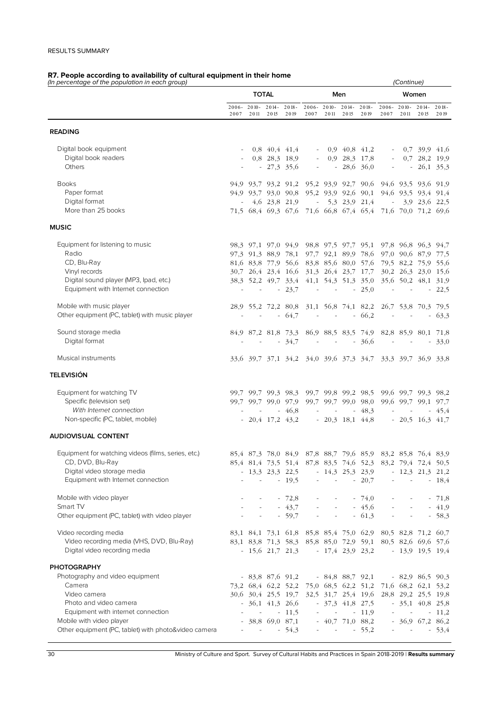# **R7. People according to availability of cultural equipment in their home**  (In percentage of the population in each group) (Continue)

| in percentage or the population in each group,                                   | <b>TOTAL</b> |                                                      |                  |                                |                                         |                                | Men                 |                                | CUILING.<br>Women                                           |                                    |                                 |                     |
|----------------------------------------------------------------------------------|--------------|------------------------------------------------------|------------------|--------------------------------|-----------------------------------------|--------------------------------|---------------------|--------------------------------|-------------------------------------------------------------|------------------------------------|---------------------------------|---------------------|
|                                                                                  | 2007         | $2006 - 2010 -$<br>2011                              | $2014 -$<br>2015 | $2018 -$<br>2019               | $2006 - 2010 - 2014 -$<br>2007          | 2011                           | 2015                | $2018 -$<br>2019               | 2007                                                        | $2006 - 2010 -$<br>2011            | $2014 -$<br>2015                | $2018 -$<br>2019    |
| <b>READING</b>                                                                   |              |                                                      |                  |                                |                                         |                                |                     |                                |                                                             |                                    |                                 |                     |
| Digital book equipment                                                           |              |                                                      |                  | $0,8$ 40,4 41,4                |                                         |                                |                     | 0,9 40,8 41,2                  |                                                             |                                    | $0.7$ 39.9 41.6                 |                     |
| Digital book readers                                                             |              |                                                      |                  | 0,8 28,3 18,9                  |                                         |                                |                     | 0,9 28,3 17,8                  |                                                             |                                    |                                 | 0,7 28,2 19,9       |
| Others                                                                           |              |                                                      |                  | $-27.3$ 35.6                   | $\overline{\phantom{a}}$                |                                |                     | $-28,636,0$                    | $\overline{\phantom{a}}$                                    |                                    | $-26,135,3$                     |                     |
| <b>Books</b>                                                                     |              |                                                      |                  |                                |                                         |                                |                     |                                | 94,9 93,7 93,2 91,2 95,2 93,9 92,7 90,6 94,6 93,5 93,6 91,9 |                                    |                                 |                     |
| Paper format                                                                     |              |                                                      |                  | 94,9 93,7 93,0 90,8            |                                         |                                |                     | 95,2 93,9 92,6 90,1            |                                                             |                                    | 94,6 93,5 93,4 91,4             |                     |
| Digital format                                                                   |              |                                                      |                  | 4,6 23,8 21,9                  |                                         |                                |                     | $-5,3$ 23,9 21,4               | $\sim 10^{-1}$                                              |                                    | 3.9 23.6 22.5                   |                     |
| More than 25 books                                                               |              |                                                      |                  |                                |                                         |                                |                     |                                | 71,5 68,4 69,3 67,6 71,6 66,8 67,4 65,4 71,6 70,0 71,2 69,6 |                                    |                                 |                     |
| <b>MUSIC</b>                                                                     |              |                                                      |                  |                                |                                         |                                |                     |                                |                                                             |                                    |                                 |                     |
| Equipment for listening to music                                                 |              |                                                      |                  |                                | 98,3 97,1 97,0 94,9 98,8 97,5 97,7 95,1 |                                |                     |                                |                                                             |                                    |                                 | 97,8 96,8 96,3 94,7 |
| Radio                                                                            |              |                                                      |                  | 97,3 91,3 88,9 78,1            |                                         |                                |                     | 97,7 92,1 89,9 78,6            |                                                             |                                    | 97,0 90,6 87,9 77,5             |                     |
| CD, Blu-Ray                                                                      |              |                                                      |                  |                                | 81,6 83,8 77,9 56,6 83,8 85,6 80,0 57,6 |                                |                     |                                |                                                             |                                    | 79,5 82,2 75,9 55,6             |                     |
| Vinyl records                                                                    |              |                                                      |                  | 30,7 26,4 23,4 16,6            |                                         |                                |                     | 31,3 26,4 23,7 17,7            |                                                             |                                    | 30,2 26,3 23,0 15,6             |                     |
| Digital sound player (MP3, Ipad, etc.)<br>Equipment with Internet connection     |              |                                                      |                  | 38,3 52,2 49,7 33,4<br>$-23,7$ | $\overline{\phantom{a}}$                | $\overline{\phantom{a}}$       |                     | 41,1 54,3 51,3 35,0<br>$-25,0$ | $\overline{\phantom{a}}$                                    |                                    | 35,6 50,2 48,1 31,9             | $-22,5$             |
|                                                                                  |              |                                                      |                  |                                |                                         |                                |                     |                                |                                                             |                                    |                                 |                     |
| Mobile with music player                                                         |              |                                                      |                  |                                |                                         |                                |                     |                                | 28,9 55,2 72,2 80,8 31,1 56,8 74,1 82,2 26,7 53,8 70,3 79,5 |                                    |                                 |                     |
| Other equipment (PC, tablet) with music player                                   |              | $\sim$                                               |                  | $-64,7$                        | $\sim$                                  | $\overline{\phantom{a}}$       |                     | $-66,2$                        |                                                             |                                    |                                 | $-63.3$             |
| Sound storage media                                                              |              |                                                      |                  | 84,9 87,2 81,8 73,3            |                                         |                                |                     |                                | 86,9 88,5 83,5 74,9 82,8 85,9 80,1 71,8                     |                                    |                                 |                     |
| Digital format                                                                   |              |                                                      |                  | $-34,7$                        |                                         |                                |                     | $-36,6$                        |                                                             |                                    |                                 | $-33,0$             |
| Musical instruments                                                              |              |                                                      |                  |                                |                                         |                                |                     |                                | 33,6 39,7 37,1 34,2 34,0 39,6 37,3 34,7 33,3 39,7 36,9 33,8 |                                    |                                 |                     |
| <b>TELEVISIÓN</b>                                                                |              |                                                      |                  |                                |                                         |                                |                     |                                |                                                             |                                    |                                 |                     |
| Equipment for watching TV                                                        |              |                                                      |                  | 99,7 99,7 99,3 98,3            |                                         |                                |                     | 99,7 99,8 99,2 98,5            |                                                             |                                    | 99,6 99,7 99,3 98,2             |                     |
| Specific (television set)                                                        |              |                                                      |                  | 99,7 99,7 99,0 97,9            |                                         |                                |                     | 99,7 99,7 99,0 98,0            |                                                             |                                    | 99,6 99,7 99,1 97,7             |                     |
| With Internet connection                                                         |              |                                                      |                  | $-46,8$                        |                                         |                                |                     | $-48,3$                        |                                                             |                                    |                                 | $-45,4$             |
| Non-specific (PC, tablet, mobile)                                                |              |                                                      |                  | $-20.4$ 17,2 43,2              |                                         |                                |                     | $-20,3$ 18,1 44,8              |                                                             |                                    | $-20,5$ 16,3 41,7               |                     |
| <b>AUDIOVISUAL CONTENT</b>                                                       |              |                                                      |                  |                                |                                         |                                |                     |                                |                                                             |                                    |                                 |                     |
| Equipment for watching videos (films, series, etc.)                              |              |                                                      |                  |                                |                                         |                                |                     |                                | 85,4 87,3 78,0 84,9 87,8 88,7 79,6 85,9 83,2 85,8 76,4 83,9 |                                    |                                 |                     |
| CD, DVD, Blu-Ray                                                                 |              |                                                      |                  |                                |                                         |                                |                     |                                | 85,4 81,4 73,5 51,4 87,8 83,5 74,6 52,3 83,2 79,4 72,4 50,5 |                                    |                                 |                     |
| Digital video storage media                                                      |              |                                                      |                  | $-13,3$ 23,3 22,5              |                                         |                                |                     | $-14,3$ 25,3 23,9              |                                                             |                                    | $-12,321,321,2$                 |                     |
| Equipment with Internet connection                                               |              | $\overline{\phantom{a}}$                             |                  | $-19,5$                        | $\overline{\phantom{a}}$                | $\overline{\phantom{a}}$       |                     | $-20,7$                        | $\overline{\phantom{a}}$                                    | $\overline{\phantom{a}}$           |                                 | $-18,4$             |
| Mobile with video player                                                         |              |                                                      |                  | $-72,8$                        |                                         | $\overline{\phantom{a}}$       |                     | $-74,0$                        |                                                             | $\overline{\phantom{a}}$           |                                 | $-71,8$             |
| Smart TV<br>Other equipment (PC, tablet) with video player                       |              | $\overline{\phantom{a}}$<br>$\overline{\phantom{a}}$ |                  | $-43,7$<br>$-59.7$             | $\overline{\phantom{a}}$                | and the contract<br>$\sim 100$ |                     | $-45,6$<br>$-61,3$             | $\overline{\phantom{a}}$                                    | $\sim$<br>$\overline{\phantom{a}}$ |                                 | $-41,9$<br>$-58,3$  |
|                                                                                  |              |                                                      |                  |                                |                                         |                                |                     |                                |                                                             |                                    |                                 |                     |
| Video recording media                                                            |              |                                                      |                  |                                |                                         |                                |                     |                                | 83,1 84,1 73,1 61,8 85,8 85,4 75,0 62,9 80,5 82,8 71,2 60,7 |                                    |                                 |                     |
| Video recording media (VHS, DVD, Blu-Ray)<br>Digital video recording media       |              |                                                      |                  | $-15,6$ 21,7 21,3              |                                         |                                |                     | $-17,4$ 23,9 23,2              | 83,1 83,8 71,3 58,3 85,8 85,0 72,9 59,1 80,5 82,6 69,6 57,6 |                                    | $-13,9$ 19,5 19,4               |                     |
| <b>PHOTOGRAPHY</b>                                                               |              |                                                      |                  |                                |                                         |                                |                     |                                |                                                             |                                    |                                 |                     |
| Photography and video equipment                                                  |              | $-83,887,691,2$                                      |                  |                                |                                         |                                | $-84,888,792,1$     |                                |                                                             |                                    | $-82,986,590,3$                 |                     |
| Camera                                                                           |              |                                                      |                  |                                |                                         |                                |                     |                                | 73,2 68,4 62,2 52,2 75,0 68,5 62,2 51,2 71,6 68,2 62,1 53,2 |                                    |                                 |                     |
| Video camera                                                                     |              |                                                      |                  | 30,6 30,4 25,5 19,7            |                                         |                                |                     |                                | 32,5 31,7 25,4 19,6 28,8 29,2 25,5 19,8                     |                                    |                                 |                     |
| Photo and video camera                                                           |              |                                                      |                  | $-36,141,326,6$                |                                         |                                |                     | $-37,341,827,5$                |                                                             |                                    | $-35,140,825,8$                 |                     |
| Equipment with internet connection                                               |              | $\overline{\phantom{a}}$                             |                  | $-11,5$                        |                                         |                                | $\omega_{\rm{max}}$ | $-11,9$                        |                                                             | $\overline{\phantom{a}}$           |                                 | $-11,2$             |
| Mobile with video player<br>Other equipment (PC, tablet) with photo&video camera |              | <b>All Contracts</b>                                 |                  | 38,8 69,0 87,1<br>$-54,3$      |                                         |                                |                     | $-40,7$ 71,0 88,2              |                                                             |                                    | $-36,967,286,2$<br>$- - - 53,4$ |                     |
|                                                                                  |              |                                                      |                  |                                |                                         |                                |                     | $- - 55,2$                     |                                                             |                                    |                                 |                     |

30 Ministry of Culture and Sport. Survey of Cultural Habits and Practices in Spain 2018-2019 | **Results summary**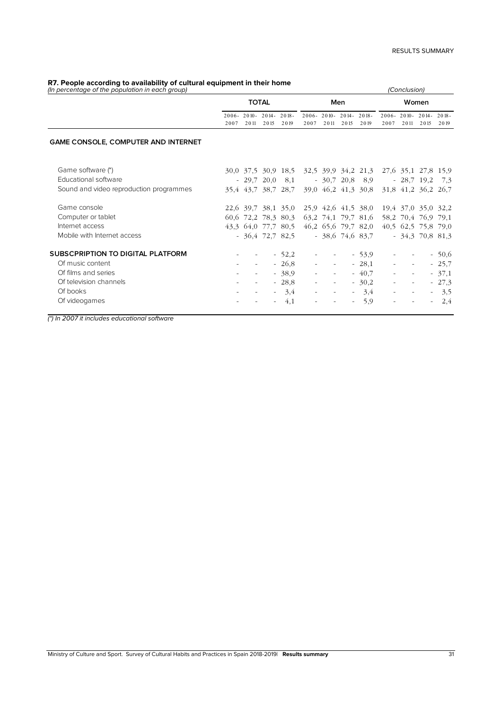# **R7. People according to availability of cultural equipment in their home** (In percentage of the population in each group) (Conclusion)

| n percentage or the population in each group,                   |              |                          |      |                                       |                                         |                                                 |                            |                | ------------                                                |                                                       |                                         |         |  |
|-----------------------------------------------------------------|--------------|--------------------------|------|---------------------------------------|-----------------------------------------|-------------------------------------------------|----------------------------|----------------|-------------------------------------------------------------|-------------------------------------------------------|-----------------------------------------|---------|--|
|                                                                 | <b>TOTAL</b> |                          |      |                                       |                                         |                                                 | Men                        |                | Women                                                       |                                                       |                                         |         |  |
|                                                                 | 2007         | 2011                     | 2015 | $2006 - 2010 - 2014 - 2018 -$<br>2019 | 2007                                    | 2006-2010-2014-2018-<br>2011                    | 2015                       | 2019           | 2007                                                        | 2011                                                  | 2006-2010-2014-2018-<br>2015            | 2019    |  |
| <b>GAME CONSOLE, COMPUTER AND INTERNET</b>                      |              |                          |      |                                       |                                         |                                                 |                            |                |                                                             |                                                       |                                         |         |  |
| Game software (*)                                               |              |                          |      |                                       |                                         |                                                 |                            |                | 30,0 37,5 30,9 18,5 32,5 39,9 34,2 21,3 27,6 35,1 27,8 15,9 |                                                       |                                         |         |  |
| Educational software<br>Sound and video reproduction programmes |              |                          |      | $-29.720.08.1$                        | 35,4 43,7 38,7 28,7 39,0 46,2 41,3 30,8 |                                                 |                            | $-30,720,88,9$ |                                                             |                                                       | $-28,7$ 19,2 7,3<br>31,8 41,2 36,2 26,7 |         |  |
| Game console                                                    |              |                          |      |                                       |                                         |                                                 |                            |                | 22,6 39,7 38,1 35,0 25,9 42,6 41,5 38,0 19,4 37,0 35,0 32,2 |                                                       |                                         |         |  |
| Computer or tablet<br>Internet access                           |              |                          |      |                                       | 60,6 72,2 78,3 80,3 63,2 74,1 79,7 81,6 |                                                 |                            |                | 43,3 64,0 77,7 80,5 46,2 65,6 79,7 82,0 40,5 62,5 75,8 79,0 |                                                       | 58,2 70,4 76,9 79,1                     |         |  |
| Mobile with Internet access                                     |              |                          |      |                                       |                                         |                                                 |                            |                | $-36.4$ 72.7 82.5 $-38.6$ 74.6 83.7 $-34.3$ 70.8 81.3       |                                                       |                                         |         |  |
| <b>SUBSCPRIPTION TO DIGITAL PLATFORM</b>                        |              |                          |      | $-52,2$                               |                                         | $\omega_{\rm{max}}$                             | $\mathcal{L}_{\rm{max}}$ . | $-53.9$        |                                                             | $\sim$                                                |                                         | $-50,6$ |  |
| Of music content                                                |              |                          |      | $-26,8$                               |                                         | $\sigma_{\rm{max}}$ and                         | $\sim 100$                 | $-28,1$        |                                                             | $\omega_{\rm{max}}$ and $\omega_{\rm{max}}$<br>$\sim$ |                                         | $-25,7$ |  |
| Of films and series                                             |              |                          |      | $-38.9$                               |                                         | $\overline{\phantom{a}}$                        |                            | $-40,7$        |                                                             | $\sim$                                                |                                         | $-37,1$ |  |
| Of television channels                                          |              |                          |      | $-28,8$                               |                                         | $\omega_{\rm{max}}$                             | $\mathcal{L}_{\rm{max}}$   | $-30,2$        |                                                             | $\sim$                                                |                                         | $-27,3$ |  |
| Of books                                                        |              | $\overline{\phantom{a}}$ |      | $-3,4$                                |                                         | $\omega_{\rm{max}}$<br>$\overline{\phantom{a}}$ |                            | $-3,4$         |                                                             | $\omega_{\rm{max}}$<br>$\sim$                         |                                         | $-3,5$  |  |
| Of videogames                                                   |              |                          |      | 4,1                                   |                                         |                                                 | $\overline{\phantom{a}}$   | 5,9            |                                                             |                                                       |                                         | 2,4     |  |
|                                                                 |              |                          |      |                                       |                                         |                                                 |                            |                |                                                             |                                                       |                                         |         |  |

(\*) In 2007 it includes educational software